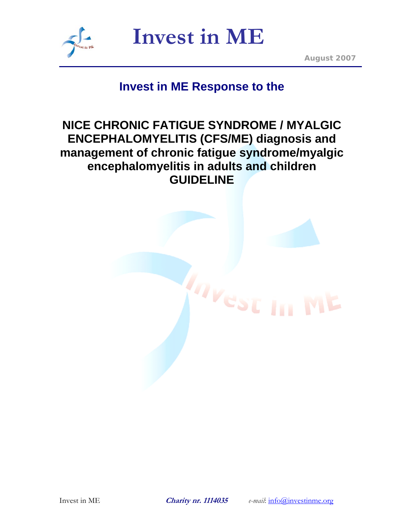

*August 2007*

# **Invest in ME Response to the**

# **NICE CHRONIC FATIGUE SYNDROME / MYALGIC ENCEPHALOMYELITIS (CFS/ME) diagnosis and management of chronic fatigue syndrome/myalgic encephalomyelitis in adults and children GUIDELINE**

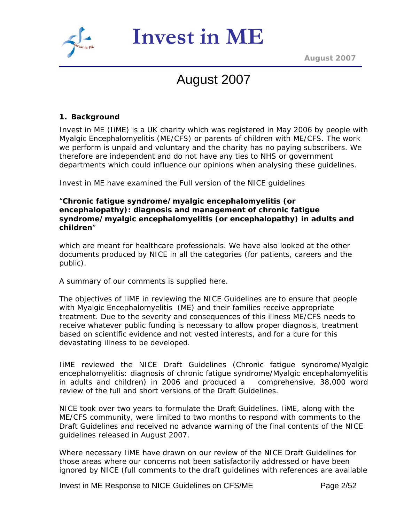



*August 2007*

# August 2007

#### **1. Background**

Invest in ME (IiME) is a UK charity which was registered in May 2006 by people with Myalgic Encephalomyelitis (ME/CFS) or parents of children with ME/CFS. The work we perform is unpaid and voluntary and the charity has no paying subscribers. We therefore are independent and do not have any ties to NHS or government departments which could influence our opinions when analysing these guidelines.

Invest in ME have examined the Full version of the NICE guidelines

"**Chronic fatigue syndrome/myalgic encephalomyelitis (or encephalopathy): diagnosis and management of chronic fatigue syndrome/myalgic encephalomyelitis (or encephalopathy) in adults and children**"

which are meant for healthcare professionals. We have also looked at the other documents produced by NICE in all the categories (for patients, careers and the public).

A summary of our comments is supplied here.

The objectives of IiME in reviewing the NICE Guidelines are to ensure that people with Myalgic Encephalomyelitis (ME) and their families receive appropriate treatment. Due to the severity and consequences of this illness ME/CFS needs to receive whatever public funding is necessary to allow proper diagnosis, treatment based on scientific evidence and not vested interests, and for a cure for this devastating illness to be developed.

IiME reviewed the NICE Draft Guidelines (Chronic fatigue syndrome/Myalgic encephalomyelitis: diagnosis of chronic fatigue syndrome/Myalgic encephalomyelitis in adults and children) in 2006 and produced a comprehensive, 38,000 word review of the full and short versions of the Draft Guidelines.

NICE took over two years to formulate the Draft Guidelines. IiME, along with the ME/CFS community, were limited to two months to respond with comments to the Draft Guidelines and received no advance warning of the final contents of the NICE guidelines released in August 2007.

Where necessary IiME have drawn on our review of the NICE Draft Guidelines for those areas where our concerns not been satisfactorily addressed or have been ignored by NICE (full comments to the draft guidelines with references are available

Invest in ME Response to NICE Guidelines on CFS/ME Page 2/52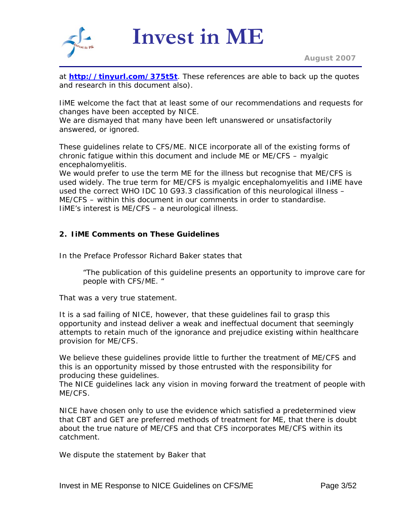

at **<http://tinyurl.com/375t5t>**. These references are able to back up the quotes and research in this document also).

IiME welcome the fact that at least some of our recommendations and requests for changes have been accepted by NICE.

We are dismayed that many have been left unanswered or unsatisfactorily answered, or ignored.

These guidelines relate to CFS/ME. NICE incorporate all of the existing forms of chronic fatigue within this document and include ME or ME/CFS – myalgic encephalomyelitis.

We would prefer to use the term ME for the illness but recognise that ME/CFS is used widely. The true term for ME/CFS is myalgic encephalomyelitis and IiME have used the correct WHO IDC 10 G93.3 classification of this neurological illness – ME/CFS – within this document in our comments in order to standardise. IiME's interest is ME/CFS – a neurological illness.

# **2. IiME Comments on These Guidelines**

In the Preface Professor Richard Baker states that

"*The publication of this guideline presents an opportunity to improve care for people with CFS/ME*. "

That was a very true statement.

It is a sad failing of NICE, however, that these guidelines fail to grasp this opportunity and instead deliver a weak and ineffectual document that seemingly attempts to retain much of the ignorance and prejudice existing within healthcare provision for ME/CFS.

We believe these guidelines provide little to further the treatment of ME/CFS and this is an opportunity missed by those entrusted with the responsibility for producing these guidelines.

The NICE guidelines lack any vision in moving forward the treatment of people with ME/CFS.

NICE have chosen only to use the evidence which satisfied a predetermined view that CBT and GET are preferred methods of treatment for ME, that there is doubt about the true nature of ME/CFS and that CFS incorporates ME/CFS within its catchment.

We dispute the statement by Baker that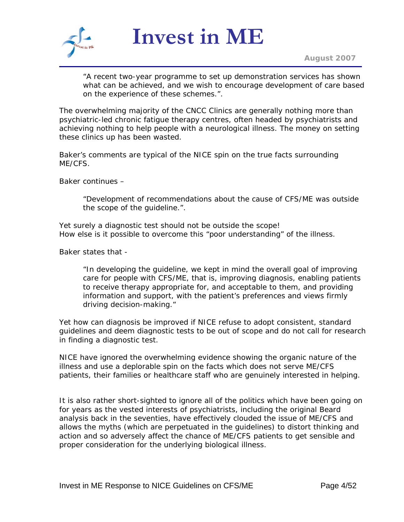

*August 2007*

"*A recent two-year programme to set up demonstration services has shown what can be achieved, and we wish to encourage development of care based on the experience of these schemes.*".

The overwhelming majority of the CNCC Clinics are generally nothing more than psychiatric-led chronic fatigue therapy centres, often headed by psychiatrists and achieving nothing to help people with a neurological illness. The money on setting these clinics up has been wasted.

Baker's comments are typical of the NICE spin on the true facts surrounding ME/CFS.

Baker continues –

"*Development of recommendations about the cause of CFS/ME was outside the scope of the guideline.*".

Yet surely a diagnostic test should not be outside the scope! How else is it possible to overcome this "*poor understanding*" of the illness.

Baker states that -

"*In developing the guideline, we kept in mind the overall goal of improving care for people with CFS/ME, that is, improving diagnosis, enabling patients to receive therapy appropriate for, and acceptable to them, and providing information and support, with the patient's preferences and views firmly driving decision-making.*"

Yet how can diagnosis be improved if NICE refuse to adopt consistent, standard guidelines and deem diagnostic tests to be out of scope and do not call for research in finding a diagnostic test.

NICE have ignored the overwhelming evidence showing the organic nature of the illness and use a deplorable spin on the facts which does not serve ME/CFS patients, their families or healthcare staff who are genuinely interested in helping.

It is also rather short-sighted to ignore all of the politics which have been going on for years as the vested interests of psychiatrists, including the original Beard analysis back in the seventies, have effectively clouded the issue of ME/CFS and allows the myths (which are perpetuated in the guidelines) to distort thinking and action and so adversely affect the chance of ME/CFS patients to get sensible and proper consideration for the underlying biological illness.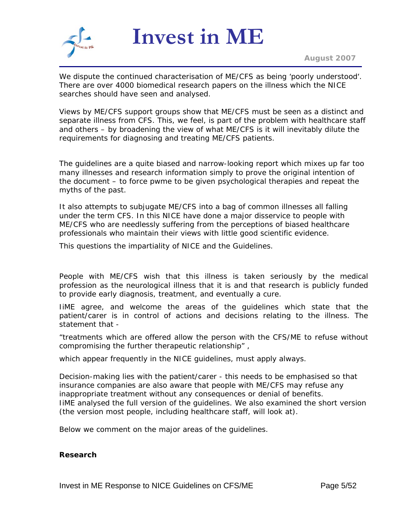

*August 2007*

We dispute the continued characterisation of ME/CFS as being '*poorly understood*'. There are over 4000 biomedical research papers on the illness which the NICE searches should have seen and analysed.

Views by ME/CFS support groups show that ME/CFS must be seen as a distinct and separate illness from CFS. This, we feel, is part of the problem with healthcare staff and others – by broadening the view of what ME/CFS is it will inevitably dilute the requirements for diagnosing and treating ME/CFS patients.

The guidelines are a quite biased and narrow-looking report which mixes up far too many illnesses and research information simply to prove the original intention of the document – to force pwme to be given psychological therapies and repeat the myths of the past.

It also attempts to subjugate ME/CFS into a bag of common illnesses all falling under the term CFS. In this NICE have done a major disservice to people with ME/CFS who are needlessly suffering from the perceptions of biased healthcare professionals who maintain their views with little good scientific evidence.

This questions the impartiality of NICE and the Guidelines.

People with ME/CFS wish that this illness is taken seriously by the medical profession as the neurological illness that it is and that research is publicly funded to provide early diagnosis, treatment, and eventually a cure.

IiME agree, and welcome the areas of the guidelines which state that the patient/carer is in control of actions and decisions relating to the illness. The statement that -

"*treatments which are offered allow the person with the CFS/ME to refuse without compromising the further therapeutic relationship" ,* 

*which appear frequently in the NICE guidelines,* must apply always.

Decision-making lies with the patient/carer - this needs to be emphasised so that insurance companies are also aware that people with ME/CFS may refuse any inappropriate treatment without any consequences or denial of benefits. IiME analysed the full version of the guidelines. We also examined the short version (the version most people, including healthcare staff, will look at).

Below we comment on the major areas of the guidelines.

#### **Research**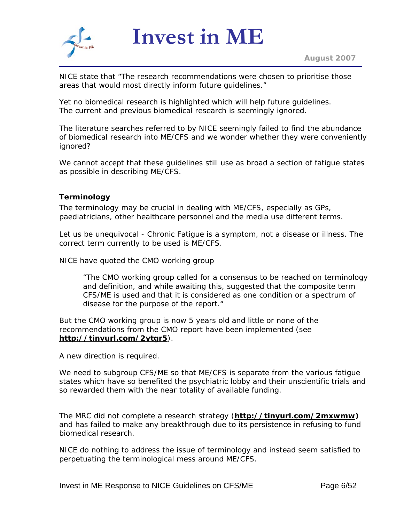

NICE state that "*The research recommendations were chosen to prioritise those areas that would most directly inform future guidelines.*"

Yet no biomedical research is highlighted which will help future guidelines. The current and previous biomedical research is seemingly ignored.

The literature searches referred to by NICE seemingly failed to find the abundance of biomedical research into ME/CFS and we wonder whether they were conveniently ignored?

We cannot accept that these guidelines still use as broad a section of fatigue states as possible in describing ME/CFS.

# **Terminology**

The terminology may be crucial in dealing with ME/CFS, especially as GPs, paediatricians, other healthcare personnel and the media use different terms.

Let us be unequivocal - Chronic Fatigue is a symptom, not a disease or illness. The correct term currently to be used is ME/CFS.

NICE have quoted the CMO working group

"*The CMO working group called for a consensus to be reached on terminology and definition, and while awaiting this, suggested that the composite term CFS/ME is used and that it is considered as one condition or a spectrum of disease for the purpose of the report.*"

But the CMO working group is now 5 years old and little or none of the recommendations from the CMO report have been implemented (see **<http://tinyurl.com/2vtgr5>**).

A new direction is required.

We need to subgroup CFS/ME so that ME/CFS is separate from the various fatigue states which have so benefited the psychiatric lobby and their unscientific trials and so rewarded them with the near totality of available funding.

The MRC did not complete a research strategy (**[http://tinyurl.com/2mxwmw\)](http://tinyurl.com/2mxwmw)**  and has failed to make any breakthrough due to its persistence in refusing to fund biomedical research.

NICE do nothing to address the issue of terminology and instead seem satisfied to perpetuating the terminological mess around ME/CFS.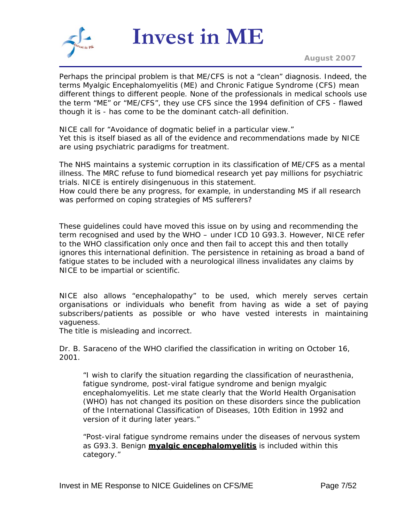

*August 2007*

Perhaps the principal problem is that ME/CFS is not a "clean" diagnosis. Indeed, the terms Myalgic Encephalomyelitis (ME) and Chronic Fatigue Syndrome (CFS) mean different things to different people. None of the professionals in medical schools use the term "ME" or "ME/CFS", they use CFS since the 1994 definition of CFS - flawed though it is - has come to be the dominant catch-all definition.

NICE call for "*Avoidance of dogmatic belief in a particular view.*" Yet this is itself biased as all of the evidence and recommendations made by NICE are using psychiatric paradigms for treatment.

The NHS maintains a systemic corruption in its classification of ME/CFS as a mental illness. The MRC refuse to fund biomedical research yet pay millions for psychiatric trials. NICE is entirely disingenuous in this statement.

How could there be any progress, for example, in understanding MS if all research was performed on coping strategies of MS sufferers?

These guidelines could have moved this issue on by using and recommending the term recognised and used by the WHO – under ICD 10 G93.3. However, NICE refer to the WHO classification only once and then fail to accept this and then totally ignores this international definition. The persistence in retaining as broad a band of fatigue states to be included with a neurological illness invalidates any claims by NICE to be impartial or scientific.

NICE also allows "*encephalopathy*" to be used, which merely serves certain organisations or individuals who benefit from having as wide a set of paying subscribers/patients as possible or who have vested interests in maintaining vagueness.

The title is misleading and incorrect.

Dr. B. Saraceno of the WHO clarified the classification in writing on October 16, 2001.

"I wish to clarify the situation regarding the classification of neurasthenia, fatigue syndrome, post-viral fatigue syndrome and benign myalgic encephalomyelitis. Let me state clearly that the World Health Organisation (WHO) has not changed its position on these disorders since the publication of the International Classification of Diseases, 10th Edition in 1992 and version of it during later years."

"Post-viral fatigue syndrome remains under the diseases of nervous system as G93.3. Benign **myalgic encephalomyelitis** is included within this category."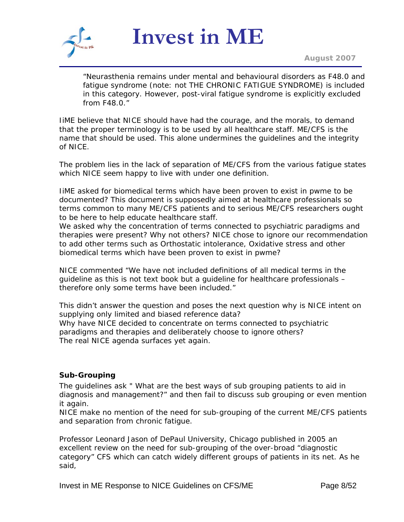

*August 2007*

"Neurasthenia remains under mental and behavioural disorders as F48.0 and fatigue syndrome (note: not THE CHRONIC FATIGUE SYNDROME) is included in this category. However, post-viral fatigue syndrome is explicitly excluded from F48.0."

IiME believe that NICE should have had the courage, and the morals, to demand that the proper terminology is to be used by all healthcare staff. ME/CFS is the name that should be used. This alone undermines the guidelines and the integrity of NICE.

The problem lies in the lack of separation of ME/CFS from the various fatigue states which NICE seem happy to live with under one definition.

IiME asked for biomedical terms which have been proven to exist in pwme to be documented? This document is supposedly aimed at healthcare professionals so terms common to many ME/CFS patients and to serious ME/CFS researchers ought to be here to help educate healthcare staff.

We asked why the concentration of terms connected to psychiatric paradigms and therapies were present? Why not others? NICE chose to ignore our recommendation to add other terms such as Orthostatic intolerance, Oxidative stress and other biomedical terms which have been proven to exist in pwme?

NICE commented "*We have not included definitions of all medical terms in the guideline as this is not text book but a guideline for healthcare professionals – therefore only some terms have been included.*"

This didn't answer the question and poses the next question why is NICE intent on supplying only limited and biased reference data?

Why have NICE decided to concentrate on terms connected to psychiatric paradigms and therapies and deliberately choose to ignore others? The real NICE agenda surfaces yet again.

#### **Sub-Grouping**

The guidelines ask " *What are the best ways of sub grouping patients to aid in diagnosis and management?*" and then fail to discuss sub grouping or even mention it again.

NICE make no mention of the need for sub-grouping of the current ME/CFS patients and separation from chronic fatigue.

Professor Leonard Jason of DePaul University, Chicago published in 2005 an excellent review on the need for sub-grouping of the over-broad "diagnostic category" CFS which can catch widely different groups of patients in its net. As he said,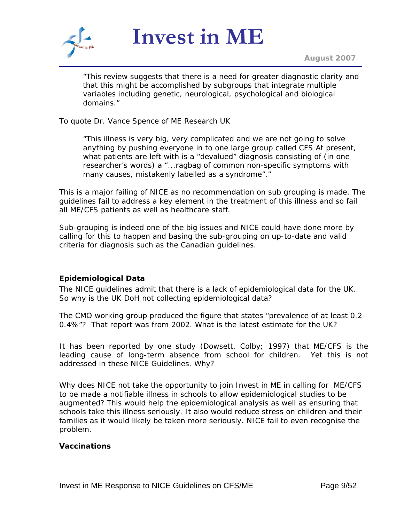

*August 2007*

*"This review suggests that there is a need for greater diagnostic clarity and that this might be accomplished by subgroups that integrate multiple variables including genetic, neurological, psychological and biological domains."*

To quote Dr. Vance Spence of ME Research UK

"This illness is very big, very complicated and we are not going to solve anything by pushing everyone in to one large group called CFS At present, what patients are left with is a "devalued" diagnosis consisting of (in one researcher's words) a *"...ragbag of common non-specific symptoms with many causes, mistakenly labelled as a syndrome"*."

This is a major failing of NICE as no recommendation on sub grouping is made. The guidelines fail to address a key element in the treatment of this illness and so fail all ME/CFS patients as well as healthcare staff.

Sub-grouping is indeed one of the big issues and NICE could have done more by calling for this to happen and basing the sub-grouping on up-to-date and valid criteria for diagnosis such as the Canadian guidelines.

# **Epidemiological Data**

The NICE guidelines admit that there is a lack of epidemiological data for the UK. So why is the UK DoH not collecting epidemiological data?

The CMO working group produced the figure that states "prevalence of at least 0.2– 0.4%"? That report was from 2002. What is the latest estimate for the UK?

It has been reported by one study (Dowsett, Colby; 1997) that ME/CFS is the leading cause of long-term absence from school for children. Yet this is not addressed in these NICE Guidelines. Why?

Why does NICE not take the opportunity to join Invest in ME in calling for ME/CFS to be made a notifiable illness in schools to allow epidemiological studies to be augmented? This would help the epidemiological analysis as well as ensuring that schools take this illness seriously. It also would reduce stress on children and their families as it would likely be taken more seriously. NICE fail to even recognise the problem.

#### **Vaccinations**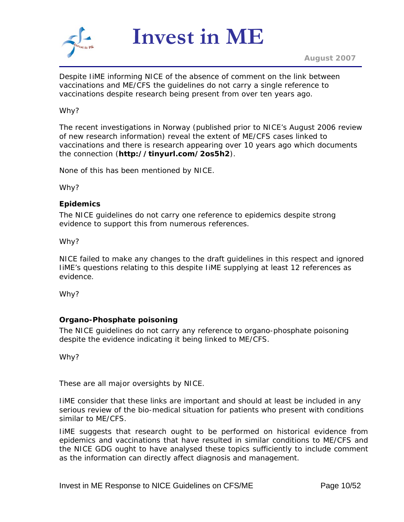

Despite IiME informing NICE of the absence of comment on the link between vaccinations and ME/CFS the guidelines do not carry a single reference to vaccinations despite research being present from over ten years ago.

#### Why?

The recent investigations in Norway (published prior to NICE's August 2006 review of new research information) reveal the extent of ME/CFS cases linked to vaccinations and there is research appearing over 10 years ago which documents the connection (**http://tinyurl.com/2os5h2**).

None of this has been mentioned by NICE.

Why?

#### **Epidemics**

The NICE guidelines do not carry one reference to epidemics despite strong evidence to support this from numerous references.

Why?

NICE failed to make any changes to the draft guidelines in this respect and ignored IiME's questions relating to this despite IiME supplying at least 12 references as evidence.

Why?

# **Organo-Phosphate poisoning**

The NICE guidelines do not carry any reference to organo-phosphate poisoning despite the evidence indicating it being linked to ME/CFS.

Why?

These are all major oversights by NICE.

IiME consider that these links are important and should at least be included in any serious review of the bio-medical situation for patients who present with conditions similar to ME/CFS.

IiME suggests that research ought to be performed on historical evidence from epidemics and vaccinations that have resulted in similar conditions to ME/CFS and the NICE GDG ought to have analysed these topics sufficiently to include comment as the information can directly affect diagnosis and management.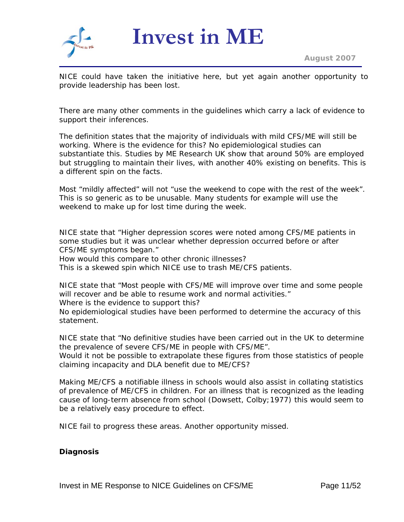

*August 2007*

NICE could have taken the initiative here, but yet again another opportunity to provide leadership has been lost.

There are many other comments in the guidelines which carry a lack of evidence to support their inferences.

The definition states that the majority of individuals with mild CFS/ME will still be working. Where is the evidence for this? No epidemiological studies can substantiate this. Studies by ME Research UK show that around 50% are employed but struggling to maintain their lives, with another 40% existing on benefits. This is a different spin on the facts.

Most "*mildly affected*" will not "*use the weekend to cope with the rest of the week*". This is so generic as to be unusable. Many students for example will use the weekend to make up for lost time during the week.

NICE state that "Higher depression scores were noted among CFS/ME patients in some studies but it was unclear whether depression occurred before or after CFS/ME symptoms began."

How would this compare to other chronic illnesses?

This is a skewed spin which NICE use to trash ME/CFS patients.

NICE state that "*Most people with CFS/ME will improve over time and some people will recover and be able to resume work and normal activities.*" Where is the evidence to support this?

No epidemiological studies have been performed to determine the accuracy of this statement.

NICE state that "*No definitive studies have been carried out in the UK to determine the prevalence of severe CFS/ME in people with CFS/ME*".

Would it not be possible to extrapolate these figures from those statistics of people claiming incapacity and DLA benefit due to ME/CFS?

Making ME/CFS a notifiable illness in schools would also assist in collating statistics of prevalence of ME/CFS in children. For an illness that is recognized as the leading cause of long-term absence from school (Dowsett, Colby;1977) this would seem to be a relatively easy procedure to effect.

NICE fail to progress these areas. Another opportunity missed.

#### **Diagnosis**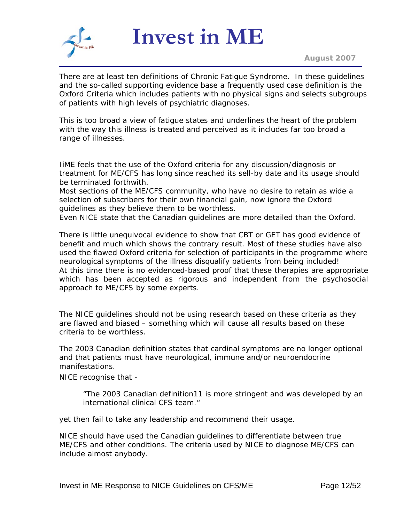

There are at least ten definitions of Chronic Fatigue Syndrome.In these guidelines and the so-called supporting evidence base a frequently used case definition is the Oxford Criteria which includes patients with no physical signs and selects subgroups of patients with high levels of psychiatric diagnoses.

This is too broad a view of fatigue states and underlines the heart of the problem with the way this illness is treated and perceived as it includes far too broad a range of illnesses.

IiME feels that the use of the Oxford criteria for any discussion/diagnosis or treatment for ME/CFS has long since reached its sell-by date and its usage should be terminated forthwith.

Most sections of the ME/CFS community, who have no desire to retain as wide a selection of subscribers for their own financial gain, now ignore the Oxford guidelines as they believe them to be worthless.

Even NICE state that the Canadian guidelines are more detailed than the Oxford.

There is little unequivocal evidence to show that CBT or GET has good evidence of benefit and much which shows the contrary result. Most of these studies have also used the flawed Oxford criteria for selection of participants in the programme where neurological symptoms of the illness disqualify patients from being included! At this time there is no evidenced-based proof that these therapies are appropriate which has been accepted as rigorous and independent from the psychosocial approach to ME/CFS by some experts.

The NICE guidelines should not be using research based on these criteria as they are flawed and biased – something which will cause all results based on these criteria to be worthless.

The 2003 Canadian definition states that cardinal symptoms are no longer optional and that patients must have neurological, immune and/or neuroendocrine manifestations.

NICE recognise that -

"*The 2003 Canadian definition11 is more stringent and was developed by an international clinical CFS team.*"

yet then fail to take any leadership and recommend their usage.

NICE should have used the Canadian guidelines to differentiate between true ME/CFS and other conditions. The criteria used by NICE to diagnose ME/CFS can include almost anybody.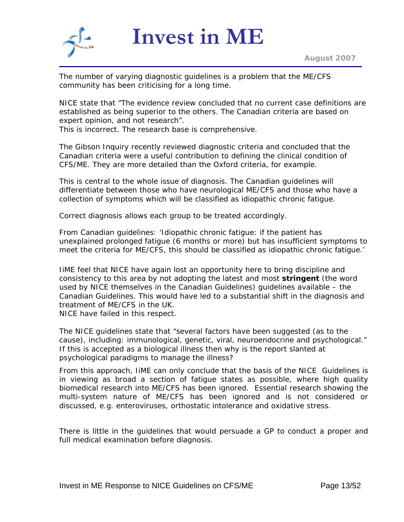

The number of varying diagnostic guidelines is a problem that the ME/CFS community has been criticising for a long time.

NICE state that "*The evidence review concluded that no current case definitions are established as being superior to the others. The Canadian criteria are based on expert opinion, and not research*".

This is incorrect. The research base is comprehensive.

The Gibson Inquiry recently reviewed diagnostic criteria and concluded that the Canadian criteria were a useful contribution to defining the clinical condition of CFS/ME. They are more detailed than the Oxford criteria, for example.

This is central to the whole issue of diagnosis. The Canadian guidelines will differentiate between those who have neurological ME/CFS and those who have a collection of symptoms which will be classified as idiopathic chronic fatigue.

Correct diagnosis allows each group to be treated accordingly.

From Canadian guidelines: 'Idiopathic chronic fatigue: if the patient has unexplained prolonged fatigue (6 months or more) but has insufficient symptoms to meet the criteria for ME/CFS, this should be classified as idiopathic chronic fatigue.'

IiME feel that NICE have again lost an opportunity here to bring discipline and consistency to this area by not adopting the latest and most **stringent** (the word used by NICE themselves in the Canadian Guidelines) guidelines available – the Canadian Guidelines. This would have led to a substantial shift in the diagnosis and treatment of ME/CFS in the UK.

NICE have failed in this respect.

The NICE guidelines state that "*several factors have been suggested (as to the cause), including: immunological, genetic, viral, neuroendocrine and psychological.*" If this is accepted as a biological illness then why is the report slanted at psychological paradigms to manage the illness?

From this approach, IiME can only conclude that the basis of the NICE Guidelines is in viewing as broad a section of fatigue states as possible, where high quality biomedical research into ME/CFS has been ignored. Essential research showing the multi-system nature of ME/CFS has been ignored and is not considered or discussed, e.g. enteroviruses, orthostatic intolerance and oxidative stress.

There is little in the guidelines that would persuade a GP to conduct a proper and full medical examination before diagnosis.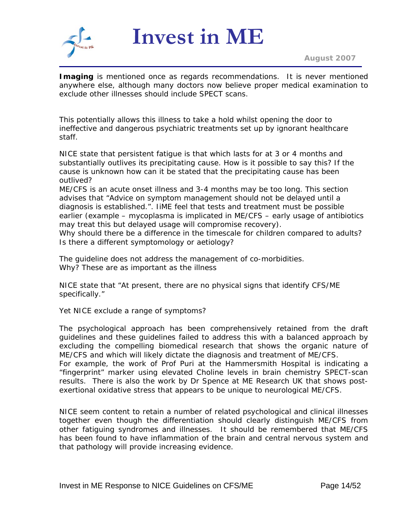

*August 2007*

**Imaging** is mentioned once as regards recommendations. It is never mentioned anywhere else, although many doctors now believe proper medical examination to exclude other illnesses should include SPECT scans.

This potentially allows this illness to take a hold whilst opening the door to ineffective and dangerous psychiatric treatments set up by ignorant healthcare staff.

NICE state that persistent fatigue is that which lasts for at 3 or 4 months and substantially outlives its precipitating cause. How is it possible to say this? If the cause is unknown how can it be stated that the precipitating cause has been outlived?

ME/CFS is an acute onset illness and 3-4 months may be too long. This section advises that "*Advice on symptom management should not be delayed until a diagnosis is established.*". IiME feel that tests and treatment must be possible earlier (example – mycoplasma is implicated in ME/CFS – early usage of antibiotics may treat this but delayed usage will compromise recovery).

Why should there be a difference in the timescale for children compared to adults? Is there a different symptomology or aetiology?

The guideline does not address the management of co-morbidities. Why? These are as important as the illness

NICE state that "*At present, there are no physical signs that identify CFS/ME specifically.*"

Yet NICE exclude a range of symptoms?

The psychological approach has been comprehensively retained from the draft guidelines and these guidelines failed to address this with a balanced approach by excluding the compelling biomedical research that shows the organic nature of ME/CFS and which will likely dictate the diagnosis and treatment of ME/CFS.

For example, the work of Prof Puri at the Hammersmith Hospital is indicating a "fingerprint" marker using elevated Choline levels in brain chemistry SPECT-scan results. There is also the work by Dr Spence at ME Research UK that shows postexertional oxidative stress that appears to be unique to neurological ME/CFS.

NICE seem content to retain a number of related psychological and clinical illnesses together even though the differentiation should clearly distinguish ME/CFS from other fatiguing syndromes and illnesses. It should be remembered that ME/CFS has been found to have inflammation of the brain and central nervous system and that pathology will provide increasing evidence.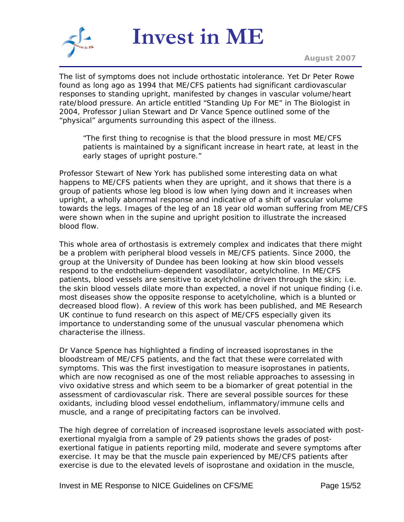

The list of symptoms does not include orthostatic intolerance. Yet Dr Peter Rowe found as long ago as 1994 that ME/CFS patients had significant cardiovascular responses to standing upright, manifested by changes in vascular volume/heart rate/blood pressure. An article entitled "Standing Up For ME" in The Biologist in 2004, Professor Julian Stewart and Dr Vance Spence outlined some of the "physical" arguments surrounding this aspect of the illness.

"The first thing to recognise is that the blood pressure in most ME/CFS patients is maintained by a significant increase in heart rate, at least in the early stages of upright posture."

Professor Stewart of New York has published some interesting data on what happens to ME/CFS patients when they are upright, and it shows that there is a group of patients whose leg blood is low when lying down and it *increases* when upright, a wholly abnormal response and indicative of a shift of vascular volume towards the legs. Images of the leg of an 18 year old woman suffering from ME/CFS were shown when in the supine and upright position to illustrate the increased blood flow.

This whole area of orthostasis is extremely complex and indicates that there might be a problem with peripheral blood vessels in ME/CFS patients. Since 2000, the group at the University of Dundee has been looking at how skin blood vessels respond to the endothelium-dependent vasodilator, acetylcholine. In ME/CFS patients, blood vessels are sensitive to acetylcholine driven through the skin; i.e. the skin blood vessels dilate more than expected, a novel if not unique finding (i.e. most diseases show the opposite response to acetylcholine, which is a blunted or decreased blood flow). A review of this work has been published, and ME Research UK continue to fund research on this aspect of ME/CFS especially given its importance to understanding some of the unusual vascular phenomena which characterise the illness.

Dr Vance Spence has highlighted a finding of increased isoprostanes in the bloodstream of ME/CFS patients, and the fact that these were correlated with symptoms. This was the first investigation to measure isoprostanes in patients, which are now recognised as one of the most reliable approaches to assessing in vivo oxidative stress and which seem to be a biomarker of great potential in the assessment of cardiovascular risk. There are several possible sources for these oxidants, including blood vessel endothelium, inflammatory/immune cells and muscle, and a range of precipitating factors can be involved.

The high degree of correlation of increased isoprostane levels associated with postexertional myalgia from a sample of 29 patients shows the grades of postexertional fatigue in patients reporting mild, moderate and severe symptoms after exercise. It may be that the muscle pain experienced by ME/CFS patients after exercise is due to the elevated levels of isoprostane and oxidation in the muscle,

Invest in ME Response to NICE Guidelines on CFS/ME Page 15/52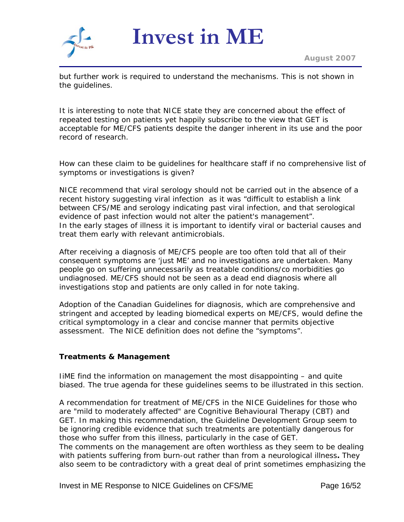

but further work is required to understand the mechanisms. This is not shown in the guidelines.

It is interesting to note that NICE state they are concerned about the effect of repeated testing on patients yet happily subscribe to the view that GET is acceptable for ME/CFS patients despite the danger inherent in its use and the poor record of research.

How can these claim to be guidelines for healthcare staff if no comprehensive list of symptoms or investigations is given?

NICE recommend that viral serology should not be carried out in the absence of a recent history suggesting viral infection as it was "*difficult to establish a link between CFS/ME and serology indicating past viral infection, and that serological evidence of past infection would not alter the patient's management*". In the early stages of illness it is important to identify viral or bacterial causes and treat them early with relevant antimicrobials.

After receiving a diagnosis of ME/CFS people are too often told that all of their consequent symptoms are 'just ME' and no investigations are undertaken. Many people go on suffering unnecessarily as treatable conditions/co morbidities go undiagnosed. ME/CFS should not be seen as a dead end diagnosis where all investigations stop and patients are only called in for note taking.

Adoption of the Canadian Guidelines for diagnosis, which are comprehensive and stringent and accepted by leading biomedical experts on ME/CFS, would define the critical symptomology in a clear and concise manner that permits objective assessment. The NICE definition does not define the "symptoms".

# **Treatments & Management**

IiME find the information on management the most disappointing – and quite biased. The true agenda for these guidelines seems to be illustrated in this section.

A recommendation for treatment of ME/CFS in the NICE Guidelines for those who are "mild to moderately affected" are Cognitive Behavioural Therapy (CBT) and GET. In making this recommendation, the Guideline Development Group seem to be ignoring credible evidence that such treatments are potentially dangerous for those who suffer from this illness, particularly in the case of GET. The comments on the management are often worthless as they seem to be dealing with patients suffering from burn-out rather than from a neurological illness**.** They also seem to be contradictory with a great deal of print sometimes emphasizing the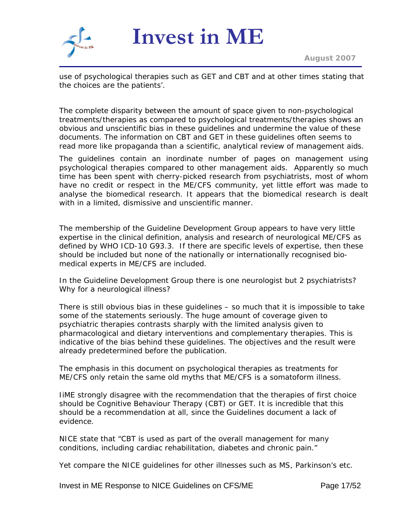

use of psychological therapies such as GET and CBT and at other times stating that the choices are the patients'.

The complete disparity between the amount of space given to non-psychological treatments/therapies as compared to psychological treatments/therapies shows an obvious and unscientific bias in these guidelines and undermine the value of these documents. The information on CBT and GET in these guidelines often seems to read more like propaganda than a scientific, analytical review of management aids.

The guidelines contain an inordinate number of pages on management using psychological therapies compared to other management aids. Apparently so much time has been spent with cherry-picked research from psychiatrists, most of whom have no credit or respect in the ME/CFS community, yet little effort was made to analyse the biomedical research. It appears that the biomedical research is dealt with in a limited, dismissive and unscientific manner.

The membership of the Guideline Development Group appears to have very little expertise in the clinical definition, analysis and research of neurological ME/CFS as defined by WHO ICD-10 G93.3. If there are specific levels of expertise, then these should be included but none of the nationally or internationally recognised biomedical experts in ME/CFS are included.

In the Guideline Development Group there is one neurologist but 2 psychiatrists? Why for a neurological illness?

There is still obvious bias in these guidelines – so much that it is impossible to take some of the statements seriously. The huge amount of coverage given to psychiatric therapies contrasts sharply with the limited analysis given to pharmacological and dietary interventions and complementary therapies. This is indicative of the bias behind these guidelines. The objectives and the result were already predetermined before the publication.

The emphasis in this document on psychological therapies as treatments for ME/CFS only retain the same old myths that ME/CFS is a somatoform illness.

IiME strongly disagree with the recommendation that the therapies of first choice should be Cognitive Behaviour Therapy (CBT) or GET. It is incredible that this should be a recommendation at all, since the Guidelines document a lack of evidence.

NICE state that "*CBT is used as part of the overall management for many conditions, including cardiac rehabilitation, diabetes and chronic pain.*"

Yet compare the NICE guidelines for other illnesses such as MS, Parkinson's etc.

Invest in ME Response to NICE Guidelines on CFS/ME Page 17/52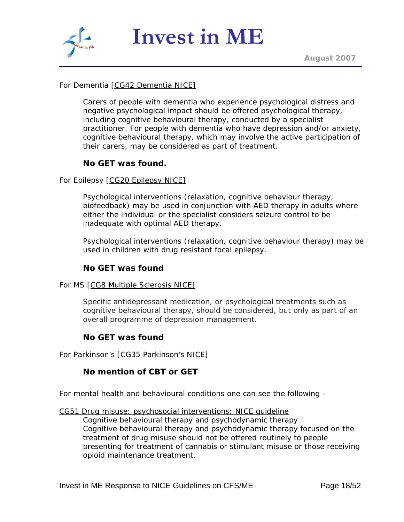

# For Dementia [CG42 Dementia NICE]

*Carers of people with dementia who experience psychological distress and negative psychological impact should be offered psychological therapy, including cognitive behavioural therapy, conducted by a specialist practitioner. For people with dementia who have depression and/or anxiety, cognitive behavioural therapy, which may involve the active participation of their carers, may be considered as part of treatment.* 

# **No GET was found.**

#### For Epilepsy [CG20 Epilepsy NICE]

*Psychological interventions (relaxation, cognitive behaviour therapy, biofeedback) may be used in conjunction with AED therapy in adults where either the individual or the specialist considers seizure control to be inadequate with optimal AED therapy.* 

*Psychological interventions (relaxation, cognitive behaviour therapy) may be used in children with drug resistant focal epilepsy.*

#### **No GET was found**

#### For MS [CG8 Multiple Sclerosis NICE]

*Specific antidepressant medication, or psychological treatments such as cognitive behavioural therapy, should be considered, but only as part of an overall programme of depression management.* 

#### **No GET was found**

For Parkinson's [CG35 Parkinson's NICE]

#### **No mention of CBT or GET**

For mental health and behavioural conditions one can see the following -

[CG51 Drug misuse: psychosocial interventions: NICE guideline](http://guidance.nice.org.uk/CG51/niceguidance/pdf/English/download.dspx)

*Cognitive behavioural therapy and psychodynamic therapy Cognitive behavioural therapy and psychodynamic therapy focused on the treatment of drug misuse should not be offered routinely to people presenting for treatment of cannabis or stimulant misuse or those receiving opioid maintenance treatment.*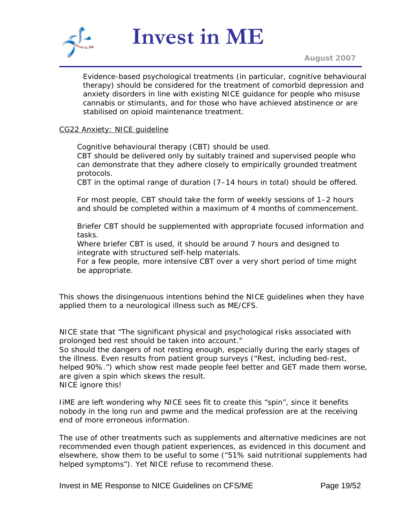

*August 2007*

*Evidence-based psychological treatments (in particular, cognitive behavioural therapy) should be considered for the treatment of comorbid depression and anxiety disorders in line with existing NICE guidance for people who misuse cannabis or stimulants, and for those who have achieved abstinence or are stabilised on opioid maintenance treatment.*

#### CG22 Anxiety: NICE guideline

*Cognitive behavioural therapy (CBT) should be used. CBT should be delivered only by suitably trained and supervised people who can demonstrate that they adhere closely to empirically grounded treatment protocols.* 

*CBT in the optimal range of duration (7–14 hours in total) should be offered.* 

*For most people, CBT should take the form of weekly sessions of 1–2 hours and should be completed within a maximum of 4 months of commencement.* 

*Briefer CBT should be supplemented with appropriate focused information and tasks.* 

*Where briefer CBT is used, it should be around 7 hours and designed to integrate with structured self-help materials.* 

*For a few people, more intensive CBT over a very short period of time might be appropriate.*

This shows the disingenuous intentions behind the NICE guidelines when they have applied them to a neurological illness such as ME/CFS.

NICE state that "*The significant physical and psychological risks associated with prolonged bed rest should be taken into account.*"

So should the dangers of not resting enough, especially during the early stages of the illness. Even results from patient group surveys ("*Rest, including bed-rest, helped 90%.*") which show rest made people feel better and GET made them worse, are given a spin which skews the result.

NICE ignore this!

IiME are left wondering why NICE sees fit to create this "spin", since it benefits nobody in the long run and pwme and the medical profession are at the receiving end of more erroneous information.

The use of other treatments such as supplements and alternative medicines are not recommended even though patient experiences, as evidenced in this document and elsewhere, show them to be useful to some ("*51% said nutritional supplements had helped symptoms*"*).* Yet NICE refuse to recommend these.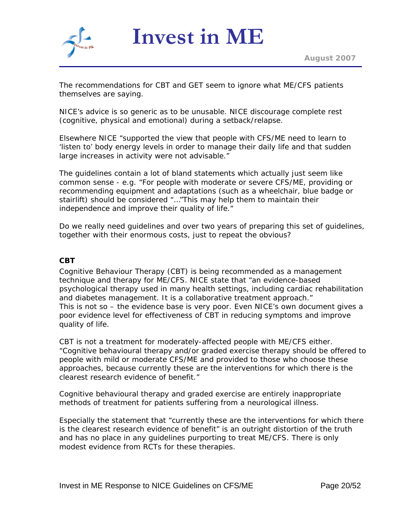

The recommendations for CBT and GET seem to ignore what ME/CFS patients themselves are saying.

NICE's advice is so generic as to be unusable. NICE discourage complete rest (cognitive, physical and emotional) during a setback/relapse.

Elsewhere NICE "*supported the view that people with CFS/ME need to learn to 'listen to' body energy levels in order to manage their daily life and that sudden large increases in activity were not advisable.*"

The guidelines contain a lot of bland statements which actually just seem like common sense - e.g. "*For people with moderate or severe CFS/ME, providing or recommending equipment and adaptations (such as a wheelchair, blue badge or stairlift) should be considered* "…"*This may help them to maintain their independence and improve their quality of life.*"

Do we really need guidelines and over two years of preparing this set of guidelines, together with their enormous costs, just to repeat the obvious?

## **CBT**

Cognitive Behaviour Therapy (CBT) is being recommended as a management technique and therapy for ME/CFS. NICE state that "*an evidence-based psychological therapy used in many health settings, including cardiac rehabilitation and diabetes management. It is a collaborative treatment approach*." This is not so – the evidence base is very poor. Even NICE's own document gives a poor evidence level for effectiveness of CBT in reducing symptoms and improve quality of life.

CBT is not a treatment for moderately-affected people with ME/CFS either. "*Cognitive behavioural therapy and/or graded exercise therapy should be offered to people with mild or moderate CFS/ME and provided to those who choose these approaches, because currently these are the interventions for which there is the clearest research evidence of benefit.*"

Cognitive behavioural therapy and graded exercise are entirely inappropriate methods of treatment for patients suffering from a neurological illness.

Especially the statement that "*currently these are the interventions for which there is the clearest research evidence of benefit*" is an outright distortion of the truth and has no place in any guidelines purporting to treat ME/CFS. There is only modest evidence from RCTs for these therapies.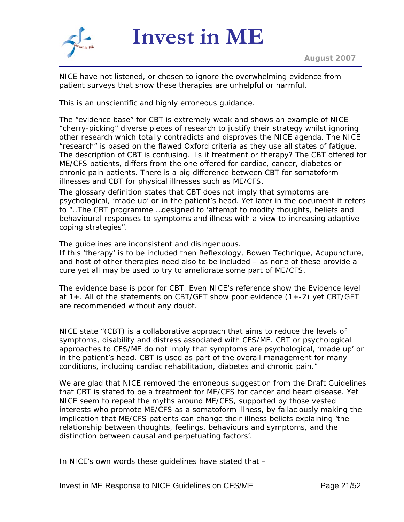

NICE have not listened, or chosen to ignore the overwhelming evidence from patient surveys that show these therapies are unhelpful or harmful.

This is an unscientific and highly erroneous guidance.

The "*evidence base*" for CBT is extremely weak and shows an example of NICE "cherry-picking" diverse pieces of research to justify their strategy whilst ignoring other research which totally contradicts and disproves the NICE agenda. The NICE "research" is based on the flawed Oxford criteria as they use all states of fatigue. The description of CBT is confusing. Is it treatment or therapy? The CBT offered for ME/CFS patients, differs from the one offered for cardiac, cancer, diabetes or chronic pain patients. There is a big difference between CBT for somatoform illnesses and CBT for physical illnesses such as ME/CFS.

The glossary definition states that CBT does not imply that symptoms are psychological, 'made up' or in the patient's head. Yet later in the document it refers to "*..The CBT programme …designed to 'attempt to modify thoughts, beliefs and behavioural responses to symptoms and illness with a view to increasing adaptive coping strategies".* 

The guidelines are inconsistent and disingenuous.

If this 'therapy' is to be included then Reflexology, Bowen Technique, Acupuncture, and host of other therapies need also to be included – as none of these provide a cure yet all may be used to try to ameliorate some part of ME/CFS.

The evidence base is poor for CBT. Even NICE's reference show the Evidence level at 1+. All of the statements on CBT/GET show poor evidence (1+-2) yet CBT/GET are recommended without any doubt.

NICE state "*(CBT) is a collaborative approach that aims to reduce the levels of symptoms, disability and distress associated with CFS/ME. CBT or psychological approaches to CFS/ME do not imply that symptoms are psychological, 'made up' or in the patient's head. CBT is used as part of the overall management for many conditions, including cardiac rehabilitation, diabetes and chronic pain.*"

We are glad that NICE removed the erroneous suggestion from the Draft Guidelines that CBT is stated to be a treatment for ME/CFS for cancer and heart disease. Yet NICE seem to repeat the myths around ME/CFS, supported by those vested interests who promote ME/CFS as a somatoform illness, by fallaciously making the implication that ME/CFS patients can change their illness beliefs explaining '*the relationship between thoughts, feelings, behaviours and symptoms, and the distinction between causal and perpetuating factors'*.

In NICE's own words these guidelines have stated that –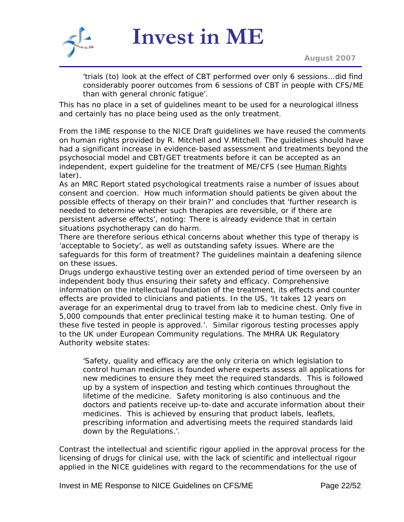

*August 2007*

'*trials (to) look at the effect of CBT performed over only 6 sessions… did find considerably poorer outcomes from 6 sessions of CBT in people with CFS/ME than with general chronic fatigue'*.

This has no place in a set of guidelines meant to be used for a neurological illness and certainly has no place being used as the only treatment.

From the IiME response to the NICE Draft guidelines we have reused the comments on human rights provided by R. Mitchell and V.Mitchell. The guidelines should have had a significant increase in evidence-based assessment and treatments beyond the psychosocial model and CBT/GET treatments before it can be accepted as an independent, expert guideline for the treatment of ME/CFS (see [Human Rights](#page-32-0) later).

As an MRC Report stated psychological treatments raise a number of issues about consent and coercion. How much information should patients be given about the possible effects of therapy on their brain?' and concludes that 'further research is needed to determine whether such therapies are reversible, or if there are persistent adverse effects', noting: There is already evidence that in certain situations psychotherapy can do harm.

There are therefore serious ethical concerns about whether this type of therapy is 'acceptable to Society', as well as outstanding safety issues. Where are the safeguards for this form of treatment? The guidelines maintain a deafening silence on these issues.

Drugs undergo exhaustive testing over an extended period of time overseen by an independent body thus ensuring their safety and efficacy. Comprehensive information on the intellectual foundation of the treatment, its effects and counter effects are provided to clinicians and patients. In the US, '*It takes 12 years on average for an experimental drug to travel from lab to medicine chest. Only five in 5,000 compounds that enter preclinical testing make it to human testing. One of these five tested in people is approved*.'. Similar rigorous testing processes apply to the UK under European Community regulations. The MHRA UK Regulatory Authority website states:

'Safety, quality and efficacy are the only criteria on which legislation to control human medicines is founded where experts assess all applications for new medicines to ensure they meet the required standards. This is followed up by a system of inspection and testing which continues throughout the lifetime of the medicine. Safety monitoring is also continuous and the doctors and patients receive up-to-date and accurate information about their medicines. This is achieved by ensuring that product labels, leaflets, prescribing information and advertising meets the required standards laid down by the Regulations.'.

Contrast the intellectual and scientific rigour applied in the approval process for the licensing of drugs for clinical use, with the lack of scientific and intellectual rigour applied in the NICE guidelines with regard to the recommendations for the use of

Invest in ME Response to NICE Guidelines on CFS/ME Page 22/52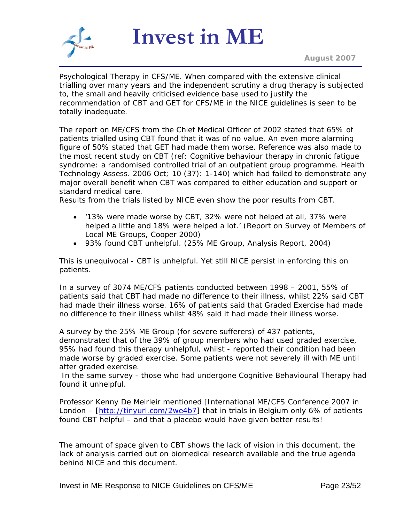

Psychological Therapy in CFS/ME. When compared with the extensive clinical trialling over many years and the independent scrutiny a drug therapy is subjected to, the small and heavily criticised evidence base used to justify the recommendation of CBT and GET for CFS/ME in the NICE guidelines is seen to be totally inadequate.

The report on ME/CFS from the Chief Medical Officer of 2002 stated that 65% of patients trialled using CBT found that it was of no value. An even more alarming figure of 50% stated that GET had made them worse. Reference was also made to the most recent study on CBT (ref: Cognitive behaviour therapy in chronic fatigue syndrome: a randomised controlled trial of an outpatient group programme. Health Technology Assess. 2006 Oct; 10 (37): 1-140) which had failed to demonstrate any major overall benefit when CBT was compared to either education and support or standard medical care.

Results from the trials listed by NICE even show the poor results from CBT.

- '*13% were made worse by CBT, 32% were not helped at all, 37% were helped a little and 18% were helped a lot.*' *(Report on Survey of Members of Local ME Groups, Cooper 2000)*
- *93% found CBT unhelpful. (25% ME Group, Analysis Report, 2004)*

This is unequivocal - CBT is unhelpful. Yet still NICE persist in enforcing this on patients.

In a survey of 3074 ME/CFS patients conducted between 1998 – 2001, 55% of patients said that CBT had made no difference to their illness, whilst 22% said CBT had made their illness worse. 16% of patients said that Graded Exercise had made no difference to their illness whilst 48% said it had made their illness worse.

A survey by the 25% ME Group (for severe sufferers) of 437 patients, demonstrated that of the 39% of group members who had used graded exercise, 95% had found this therapy unhelpful, whilst - reported their condition had been made worse by graded exercise. Some patients were not severely ill with ME until after graded exercise.

 In the same survey - those who had undergone Cognitive Behavioural Therapy had found it unhelpful.

Professor Kenny De Meirleir mentioned [International ME/CFS Conference 2007 in London – [<http://tinyurl.com/2we4b7>] that in trials in Belgium only 6% of patients found CBT helpful – and that a placebo would have given better results!

The amount of space given to CBT shows the lack of vision in this document, the lack of analysis carried out on biomedical research available and the true agenda behind NICE and this document.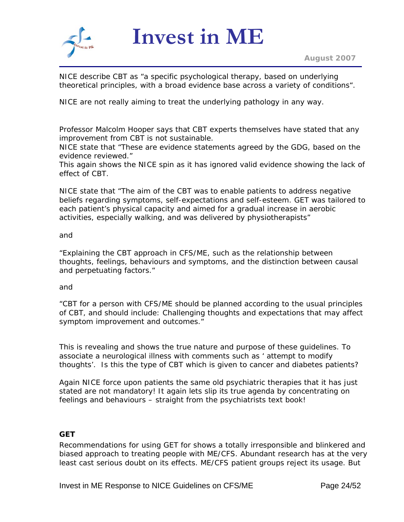

NICE describe CBT as "a specific psychological therapy, based on underlying theoretical principles, with a broad evidence base across a variety of conditions".

NICE are not really aiming to treat the underlying pathology in any way.

Professor Malcolm Hooper says that CBT experts themselves have stated that any improvement from CBT is not sustainable.

NICE state that "*These are evidence statements agreed by the GDG, based on the evidence reviewed.*"

This again shows the NICE spin as it has ignored valid evidence showing the lack of effect of CBT.

*NICE state that "The aim of the CBT was to enable patients to address negative beliefs regarding symptoms, self-expectations and self-esteem. GET was tailored to each patient's physical capacity and aimed for a gradual increase in aerobic activities, especially walking, and was delivered by physiotherapists"* 

#### *and*

"*Explaining the CBT approach in CFS/ME, such as the relationship between thoughts, feelings, behaviours and symptoms, and the distinction between causal and perpetuating factors.*"

#### and

"*CBT for a person with CFS/ME should be planned according to the usual principles of CBT, and should include: Challenging thoughts and expectations that may affect symptom improvement and outcomes.*"

This is revealing and shows the true nature and purpose of these guidelines. To associate a neurological illness with comments such as ' attempt to modify thoughts'. Is this the type of CBT which is given to cancer and diabetes patients?

Again NICE force upon patients the same old psychiatric therapies that it has just stated are not mandatory! It again lets slip its true agenda by concentrating on feelings and behaviours – straight from the psychiatrists text book!

# **GET**

Recommendations for using GET for shows a totally irresponsible and blinkered and biased approach to treating people with ME/CFS. Abundant research has at the very least cast serious doubt on its effects. ME/CFS patient groups reject its usage. But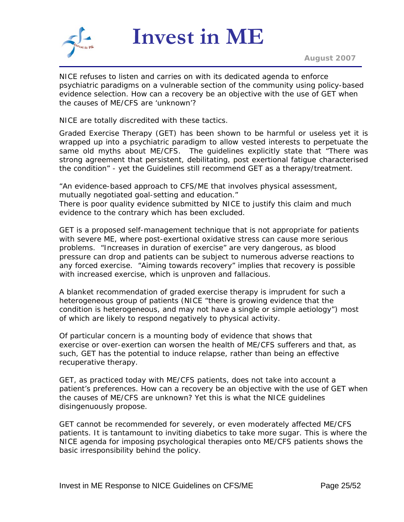

NICE refuses to listen and carries on with its dedicated agenda to enforce psychiatric paradigms on a vulnerable section of the community using policy-based evidence selection. How can a recovery be an objective with the use of GET when the causes of ME/CFS are 'unknown'?

NICE are totally discredited with these tactics.

Graded Exercise Therapy (GET) has been shown to be harmful or useless yet it is wrapped up into a psychiatric paradigm to allow vested interests to perpetuate the same old myths about ME/CFS. The guidelines explicitly state that "*There was strong agreement that persistent, debilitating, post exertional fatigue characterised the condition*" - yet the Guidelines still recommend GET as a therapy/treatment.

"*An evidence-based approach to CFS/ME that involves physical assessment, mutually negotiated goal-setting and education.*"

There is poor quality evidence submitted by NICE to justify this claim and much evidence to the contrary which has been excluded.

GET is a proposed self-management technique that is not appropriate for patients with severe ME, where post-exertional oxidative stress can cause more serious problems. "*Increases in duration of exercise*" are very dangerous, as blood pressure can drop and patients can be subject to numerous adverse reactions to any forced exercise. "*Aiming towards recovery*" implies that recovery is possible with increased exercise, which is unproven and fallacious.

A blanket recommendation of graded exercise therapy is imprudent for such a heterogeneous group of patients (NICE "*there is growing evidence that the condition is heterogeneous, and may not have a single or simple aetiology*") most of which are likely to respond negatively to physical activity.

Of particular concern is a mounting body of evidence that shows that exercise or over-exertion can worsen the health of ME/CFS sufferers and that, as such, GET has the potential to induce relapse, rather than being an effective recuperative therapy.

GET, as practiced today with ME/CFS patients, does not take into account a patient's preferences. How can a recovery be an objective with the use of GET when the causes of ME/CFS are unknown? Yet this is what the NICE guidelines disingenuously propose.

GET cannot be recommended for severely, or even moderately affected ME/CFS patients. It is tantamount to inviting diabetics to take more sugar. This is where the NICE agenda for imposing psychological therapies onto ME/CFS patients shows the basic irresponsibility behind the policy.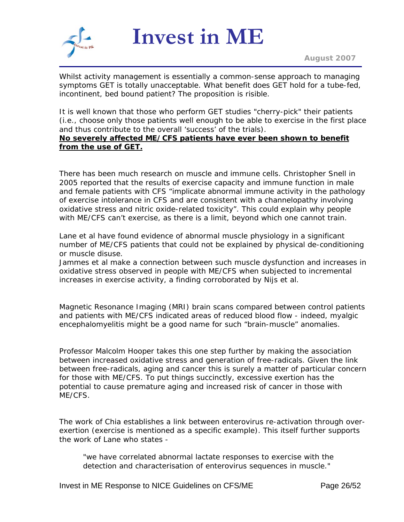

Whilst activity management is essentially a common-sense approach to managing symptoms GET is totally unacceptable. What benefit does GET hold for a tube-fed, incontinent, bed bound patient? The proposition is risible.

It is well known that those who perform GET studies "cherry-pick" their patients (i.e., choose only those patients well enough to be able to exercise in the first place and thus contribute to the overall 'success' of the trials).

#### **No severely affected ME/CFS patients have ever been shown to benefit from the use of GET.**

There has been much research on muscle and immune cells. Christopher Snell in 2005 reported that the results of exercise capacity and immune function in male and female patients with CFS "implicate abnormal immune activity in the pathology of exercise intolerance in CFS and are consistent with a channelopathy involving oxidative stress and nitric oxide-related toxicity". This could explain why people with ME/CFS can't exercise, as there is a limit, beyond which one cannot train.

Lane et al have found evidence of abnormal muscle physiology in a significant number of ME/CFS patients that could not be explained by physical de-conditioning or muscle disuse.

Jammes et al make a connection between such muscle dysfunction and increases in oxidative stress observed in people with ME/CFS when subjected to incremental increases in exercise activity, a finding corroborated by Nijs et al.

Magnetic Resonance Imaging (MRI) brain scans compared between control patients and patients with ME/CFS indicated areas of reduced blood flow - indeed, myalgic encephalomyelitis might be a good name for such "brain-muscle" anomalies.

Professor Malcolm Hooper takes this one step further by making the association between increased oxidative stress and generation of free-radicals. Given the link between free-radicals, aging and cancer this is surely a matter of particular concern for those with ME/CFS. To put things succinctly, excessive exertion has the potential to cause premature aging and increased risk of cancer in those with ME/CFS.

The work of Chia establishes a link between enterovirus re-activation through overexertion (exercise is mentioned as a specific example). This itself further supports the work of Lane who states -

"we have correlated abnormal lactate responses to exercise with the detection and characterisation of enterovirus sequences in muscle."

Invest in ME Response to NICE Guidelines on CFS/ME Page 26/52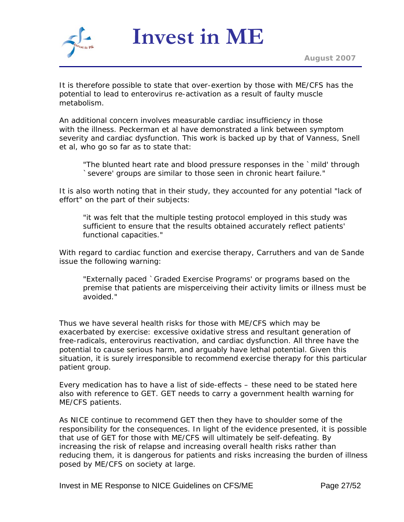

It is therefore possible to state that over-exertion by those with ME/CFS has the potential to lead to enterovirus re-activation as a result of faulty muscle metabolism.

An additional concern involves measurable cardiac insufficiency in those with the illness. Peckerman et al have demonstrated a link between symptom severity and cardiac dysfunction. This work is backed up by that of Vanness, Snell et al, who go so far as to state that:

"The blunted heart rate and blood pressure responses in the `mild' through `severe' groups are similar to those seen in chronic heart failure."

It is also worth noting that in their study, they accounted for any potential "lack of effort" on the part of their subjects:

"it was felt that the multiple testing protocol employed in this study was sufficient to ensure that the results obtained accurately reflect patients' functional capacities."

With regard to cardiac function and exercise therapy, Carruthers and van de Sande issue the following warning:

"Externally paced `Graded Exercise Programs' or programs based on the premise that patients are misperceiving their activity limits or illness must be avoided."

Thus we have several health risks for those with ME/CFS which may be exacerbated by exercise: excessive oxidative stress and resultant generation of free-radicals, enterovirus reactivation, and cardiac dysfunction. All three have the potential to cause serious harm, and arguably have lethal potential. Given this situation, it is surely irresponsible to recommend exercise therapy for this particular patient group.

Every medication has to have a list of side-effects – these need to be stated here also with reference to GET. GET needs to carry a government health warning for ME/CFS patients.

As NICE continue to recommend GET then they have to shoulder some of the responsibility for the consequences. In light of the evidence presented, it is possible that use of GET for those with ME/CFS will ultimately be self-defeating. By increasing the risk of relapse and increasing overall health risks rather than reducing them, it is dangerous for patients and risks increasing the burden of illness posed by ME/CFS on society at large.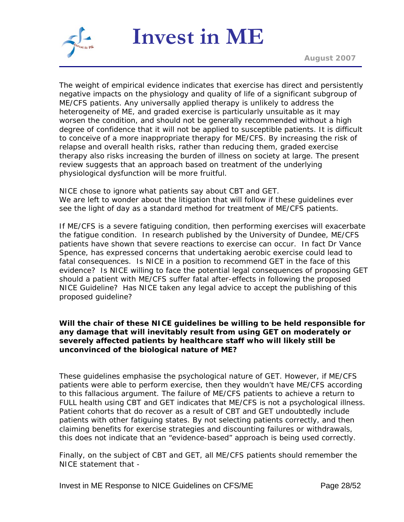

The weight of empirical evidence indicates that exercise has direct and persistently negative impacts on the physiology and quality of life of a significant subgroup of ME/CFS patients. Any universally applied therapy is unlikely to address the heterogeneity of ME, and graded exercise is particularly unsuitable as it may worsen the condition, and should not be generally recommended without a high degree of confidence that it will not be applied to susceptible patients. It is difficult to conceive of a more inappropriate therapy for ME/CFS. By increasing the risk of relapse and overall health risks, rather than reducing them, graded exercise therapy also risks increasing the burden of illness on society at large. The present review suggests that an approach based on treatment of the underlying physiological dysfunction will be more fruitful.

NICE chose to ignore what patients say about CBT and GET. We are left to wonder about the litigation that will follow if these guidelines ever see the light of day as a standard method for treatment of ME/CFS patients.

If ME/CFS is a severe fatiguing condition, then performing exercises will exacerbate the fatigue condition. In research published by the University of Dundee, ME/CFS patients have shown that severe reactions to exercise can occur. In fact Dr Vance Spence, has expressed concerns that undertaking aerobic exercise could lead to fatal consequences. Is NICE in a position to recommend GET in the face of this evidence? Is NICE willing to face the potential legal consequences of proposing GET should a patient with ME/CFS suffer fatal after-effects in following the proposed NICE Guideline? Has NICE taken any legal advice to accept the publishing of this proposed guideline?

#### **Will the chair of these NICE guidelines be willing to be held responsible for any damage that will inevitably result from using GET on moderately or severely affected patients by healthcare staff who will likely still be unconvinced of the biological nature of ME?**

These guidelines emphasise the psychological nature of GET. However, if ME/CFS patients were able to perform exercise, then they wouldn't have ME/CFS according to this fallacious argument. The failure of ME/CFS patients to achieve a return to FULL health using CBT and GET indicates that ME/CFS is not a psychological illness. Patient cohorts that do recover as a result of CBT and GET undoubtedly include patients with other fatiguing states. By not selecting patients correctly, and then claiming benefits for exercise strategies and discounting failures or withdrawals, this does not indicate that an "*evidence-based*" approach is being used correctly.

Finally, on the subject of CBT and GET, all ME/CFS patients should remember the NICE statement that -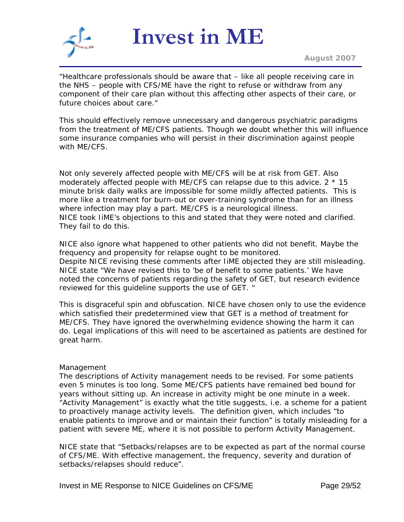

*August 2007*

"*Healthcare professionals should be aware that – like all people receiving care in the NHS – people with CFS/ME have the right to refuse or withdraw from any component of their care plan without this affecting other aspects of their care, or future choices about care.*"

This should effectively remove unnecessary and dangerous psychiatric paradigms from the treatment of ME/CFS patients. Though we doubt whether this will influence some insurance companies who will persist in their discrimination against people with ME/CFS.

Not only severely affected people with ME/CFS will be at risk from GET. Also moderately affected people with ME/CFS can relapse due to this advice. 2 \* 15 minute brisk daily walks are impossible for some mildly affected patients. This is more like a treatment for burn-out or over-training syndrome than for an illness where infection may play a part. ME/CFS is a neurological illness. NICE took IiME's objections to this and stated that they were noted and clarified. They fail to do this.

NICE also ignore what happened to other patients who did not benefit. Maybe the frequency and propensity for relapse ought to be monitored. Despite NICE revising these comments after IiME objected they are still misleading. NICE state "We have revised this to 'be of benefit to some patients.' We have noted the concerns of patients regarding the safety of GET, but research evidence reviewed for this guideline supports the use of GET. "

This is disgraceful spin and obfuscation. NICE have chosen only to use the evidence which satisfied their predetermined view that GET is a method of treatment for ME/CFS. They have ignored the overwhelming evidence showing the harm it can do. Legal implications of this will need to be ascertained as patients are destined for great harm.

#### Management

The descriptions of Activity management needs to be revised. For some patients even 5 minutes is too long. Some ME/CFS patients have remained bed bound for years without sitting up. An increase in activity might be one minute in a week. *"Activity Management"* is exactly what the title suggests, i.e. a scheme for a patient to proactively manage activity levels. The definition given, which includes *"to enable patients to improve and or maintain their function*" is totally misleading for a patient with severe ME, where it is not possible to perform Activity Management.

NICE state that "*Setbacks/relapses are to be expected as part of the normal course of CFS/ME. With effective management, the frequency, severity and duration of setbacks/relapses should reduce*".

Invest in ME Response to NICE Guidelines on CFS/ME Page 29/52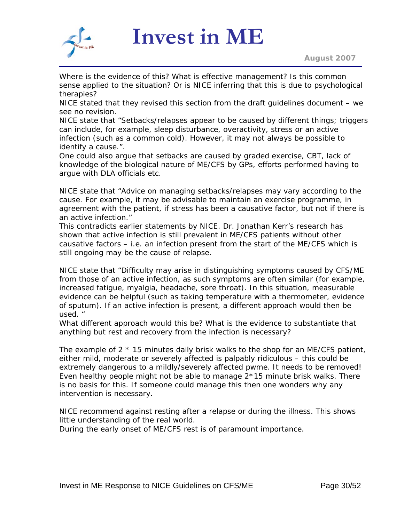

Where is the evidence of this? What is effective management? Is this common sense applied to the situation? Or is NICE inferring that this is due to psychological therapies?

NICE stated that they revised this section from the draft guidelines document – we see no revision.

NICE state that "*Setbacks/relapses appear to be caused by different things; triggers can include, for example, sleep disturbance, overactivity, stress or an active infection (such as a common cold). However, it may not always be possible to identify a cause.*".

One could also argue that setbacks are caused by graded exercise, CBT, lack of knowledge of the biological nature of ME/CFS by GPs, efforts performed having to argue with DLA officials etc.

NICE state that "*Advice on managing setbacks/relapses may vary according to the cause. For example, it may be advisable to maintain an exercise programme, in agreement with the patient, if stress has been a causative factor, but not if there is an active infection.*"

This contradicts earlier statements by NICE. Dr. Jonathan Kerr's research has shown that active infection is still prevalent in ME/CFS patients without other causative factors – i.e. an infection present from the start of the ME/CFS which is still ongoing may be the cause of relapse.

NICE state that "*Difficulty may arise in distinguishing symptoms caused by CFS/ME from those of an active infection, as such symptoms are often similar (for example, increased fatigue, myalgia, headache, sore throat). In this situation, measurable evidence can be helpful (such as taking temperature with a thermometer, evidence of sputum). If an active infection is present, a different approach would then be used.* "

What different approach would this be? What is the evidence to substantiate that anything but rest and recovery from the infection is necessary?

The example of 2 \* 15 minutes daily brisk walks to the shop for an ME/CFS patient, either mild, moderate or severely affected is palpably ridiculous – this could be extremely dangerous to a mildly/severely affected pwme. It needs to be removed! Even healthy people might not be able to manage  $2*15$  minute brisk walks. There is no basis for this. If someone could manage this then one wonders why any intervention is necessary.

NICE recommend against resting after a relapse or during the illness. This shows little understanding of the real world.

During the early onset of ME/CFS rest is of paramount importance.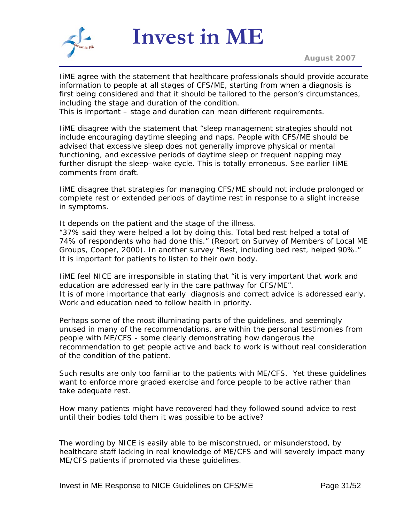

IiME agree with the statement that healthcare professionals should provide accurate information to people at all stages of CFS/ME, starting from when a diagnosis is first being considered and that it should be tailored to the person's circumstances, including the stage and duration of the condition.

This is important – stage and duration can mean different requirements.

IiME disagree with the statement that "sleep management strategies should not include encouraging daytime sleeping and naps. People with CFS/ME should be advised that excessive sleep does not generally improve physical or mental functioning, and excessive periods of daytime sleep or frequent napping may further disrupt the sleep–wake cycle. This is totally erroneous. See earlier IiME comments from draft.

IiME disagree that strategies for managing CFS/ME should not include prolonged or complete rest or extended periods of daytime rest in response to a slight increase in symptoms.

It depends on the patient and the stage of the illness.

"*37% said they were helped a lot by doing this. Total bed rest helped a total of 74% of respondents who had done this.*" (Report on Survey of Members of Local ME Groups, Cooper, 2000). In another survey "*Rest, including bed rest, helped 90%.*" It is important for patients to listen to their own body.

IiME feel NICE are irresponsible in stating that "*it is very important that work and education are addressed early in the care pathway for CFS/ME*". It is of more importance that early diagnosis and correct advice is addressed early. Work and education need to follow health in priority.

Perhaps some of the most illuminating parts of the guidelines, and seemingly unused in many of the recommendations, are within the personal testimonies from people with ME/CFS - some clearly demonstrating how dangerous the recommendation to get people active and back to work is without real consideration of the condition of the patient.

Such results are only too familiar to the patients with ME/CFS. Yet these guidelines want to enforce more graded exercise and force people to be active rather than take adequate rest.

How many patients might have recovered had they followed sound advice to rest until their bodies told them it was possible to be active?

The wording by NICE is easily able to be misconstrued, or misunderstood, by healthcare staff lacking in real knowledge of ME/CFS and will severely impact many ME/CFS patients if promoted via these guidelines.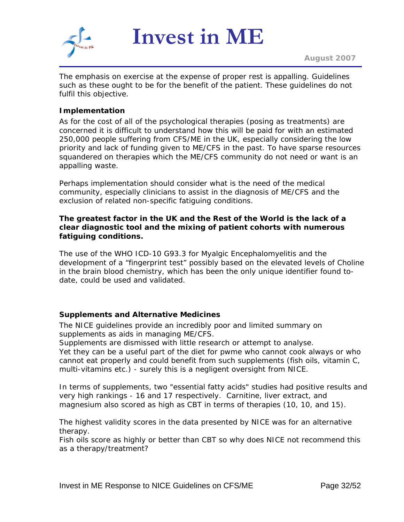

The emphasis on exercise at the expense of proper rest is appalling. Guidelines such as these ought to be for the benefit of the patient. These guidelines do not fulfil this objective.

#### **Implementation**

As for the cost of all of the psychological therapies (posing as treatments) are concerned it is difficult to understand how this will be paid for with an estimated 250,000 people suffering from CFS/ME in the UK, especially considering the low priority and lack of funding given to ME/CFS in the past. To have sparse resources squandered on therapies which the ME/CFS community do not need or want is an appalling waste.

Perhaps implementation should consider what is the need of the medical community, especially clinicians to assist in the diagnosis of ME/CFS and the exclusion of related non-specific fatiguing conditions.

#### **The greatest factor in the UK and the Rest of the World is the lack of a clear diagnostic tool and the mixing of patient cohorts with numerous fatiguing conditions.**

The use of the WHO ICD-10 G93.3 for Myalgic Encephalomyelitis and the development of a "fingerprint test" possibly based on the elevated levels of Choline in the brain blood chemistry, which has been the only unique identifier found todate, could be used and validated.

#### **Supplements and Alternative Medicines**

The NICE guidelines provide an incredibly poor and limited summary on supplements as aids in managing ME/CFS.

Supplements are dismissed with little research or attempt to analyse.

Yet they can be a useful part of the diet for pwme who cannot cook always or who cannot eat properly and could benefit from such supplements (fish oils, vitamin C, multi-vitamins etc.) - surely this is a negligent oversight from NICE.

In terms of supplements, two "essential fatty acids" studies had positive results and very high rankings - 16 and 17 respectively. Carnitine, liver extract, and magnesium also scored as high as CBT in terms of therapies (10, 10, and 15).

The highest validity scores in the data presented by NICE was for an alternative therapy.

Fish oils score as highly or better than CBT so why does NICE not recommend this as a therapy/treatment?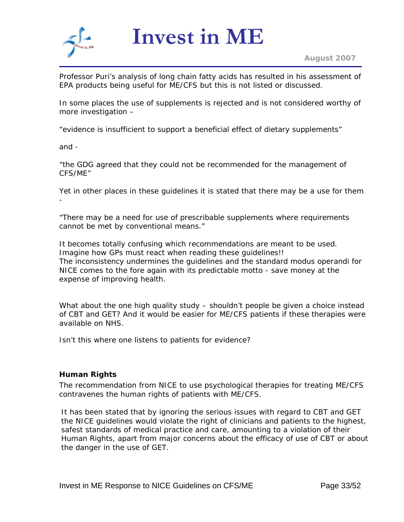<span id="page-32-0"></span>

Professor Puri's analysis of long chain fatty acids has resulted in his assessment of EPA products being useful for ME/CFS but this is not listed or discussed.

In some places the use of supplements is rejected and is not considered worthy of more investigation –

"*evidence is insufficient to support a beneficial effect of dietary supplements*"

and -

"*the GDG agreed that they could not be recommended for the management of CFS/ME*"

Yet in other places in these guidelines it is stated that there may be a use for them -

"*There may be a need for use of prescribable supplements where requirements cannot be met by conventional means.*"

It becomes totally confusing which recommendations are meant to be used. Imagine how GPs must react when reading these guidelines!! The inconsistency undermines the guidelines and the standard modus operandi for NICE comes to the fore again with its predictable motto - save money at the expense of improving health.

What about the one high quality study – shouldn't people be given a choice instead of CBT and GET? And it would be easier for ME/CFS patients if these therapies were available on NHS.

Isn't this where one listens to patients for evidence?

#### **Human Rights**

The recommendation from NICE to use psychological therapies for treating ME/CFS contravenes the human rights of patients with ME/CFS.

It has been stated that by ignoring the serious issues with regard to CBT and GET the NICE guidelines would violate the right of clinicians and patients to the highest, safest standards of medical practice and care, amounting to a violation of their Human Rights, apart from major concerns about the efficacy of use of CBT or about the danger in the use of GET.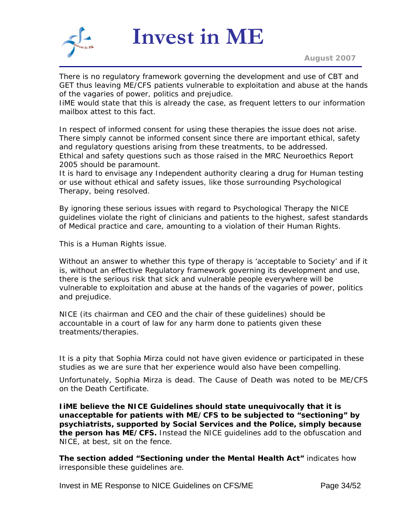

There is no regulatory framework governing the development and use of CBT and GET thus leaving ME/CFS patients vulnerable to exploitation and abuse at the hands of the vagaries of power, politics and prejudice.

IiME would state that this is already the case, as frequent letters to our information mailbox attest to this fact.

In respect of informed consent for using these therapies the issue does not arise. There simply cannot be informed consent since there are important ethical, safety and regulatory questions arising from these treatments, to be addressed. Ethical and safety questions such as those raised in the MRC Neuroethics Report 2005 should be paramount.

It is hard to envisage any Independent authority clearing a drug for Human testing or use without ethical and safety issues, like those surrounding Psychological Therapy, being resolved.

By ignoring these serious issues with regard to Psychological Therapy the NICE guidelines violate the right of clinicians and patients to the highest, safest standards of Medical practice and care, amounting to a violation of their Human Rights.

This is a Human Rights issue.

Without an answer to whether this type of therapy is 'acceptable to Society' and if it is, without an effective Regulatory framework governing its development and use, there is the serious risk that sick and vulnerable people everywhere will be vulnerable to exploitation and abuse at the hands of the vagaries of power, politics and prejudice.

NICE (its chairman and CEO and the chair of these guidelines) should be accountable in a court of law for any harm done to patients given these treatments/therapies.

It is a pity that Sophia Mirza could not have given evidence or participated in these studies as we are sure that her experience would also have been compelling.

Unfortunately, Sophia Mirza is dead. The Cause of Death was noted to be ME/CFS on the Death Certificate.

**IiME believe the NICE Guidelines should state unequivocally that it is unacceptable for patients with ME/CFS to be subjected to "sectioning" by psychiatrists, supported by Social Services and the Police, simply because the person has ME/CFS.** Instead the NICE guidelines add to the obfuscation and NICE, at best, sit on the fence.

*The section added "Sectioning under the Mental Health Act"* indicates how irresponsible these guidelines are.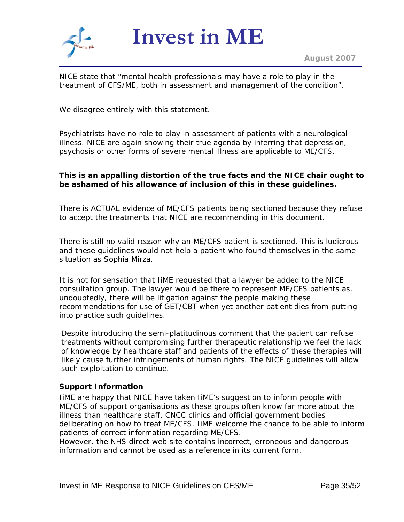

NICE state that "*mental health professionals may have a role to play in the treatment of CFS/ME, both in assessment and management of the condition*".

We disagree entirely with this statement.

Psychiatrists have no role to play in assessment of patients with a neurological illness. NICE are again showing their true agenda by inferring that depression, psychosis or other forms of severe mental illness are applicable to ME/CFS.

#### **This is an appalling distortion of the true facts and the NICE chair ought to be ashamed of his allowance of inclusion of this in these guidelines.**

There is ACTUAL evidence of ME/CFS patients being sectioned because they refuse to accept the treatments that NICE are recommending in this document.

There is still no valid reason why an ME/CFS patient is sectioned. This is ludicrous and these guidelines would not help a patient who found themselves in the same situation as Sophia Mirza.

It is not for sensation that IiME requested that a lawyer be added to the NICE consultation group. The lawyer would be there to represent ME/CFS patients as, undoubtedly, there will be litigation against the people making these recommendations for use of GET/CBT when yet another patient dies from putting into practice such guidelines.

Despite introducing the semi-platitudinous comment that the patient can refuse treatments without compromising further therapeutic relationship we feel the lack of knowledge by healthcare staff and patients of the effects of these therapies will likely cause further infringements of human rights. The NICE guidelines will allow such exploitation to continue.

#### **Support Information**

IiME are happy that NICE have taken IiME's suggestion to inform people with ME/CFS of support organisations as these groups often know far more about the illness than healthcare staff, CNCC clinics and official government bodies deliberating on how to treat ME/CFS. IiME welcome the chance to be able to inform patients of correct information regarding ME/CFS.

However, the NHS direct web site contains incorrect, erroneous and dangerous information and cannot be used as a reference in its current form.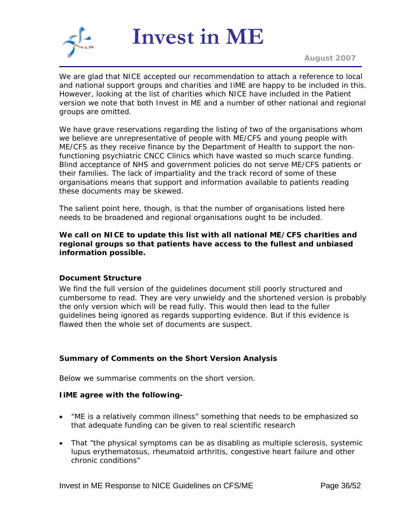

*August 2007*

We are glad that NICE accepted our recommendation to attach a reference to local and national support groups and charities and IiME are happy to be included in this. However, looking at the list of charities which NICE have included in the Patient version we note that both Invest in ME and a number of other national and regional groups are omitted.

We have grave reservations regarding the listing of two of the organisations whom we believe are unrepresentative of people with ME/CFS and young people with ME/CFS as they receive finance by the Department of Health to support the nonfunctioning psychiatric CNCC Clinics which have wasted so much scarce funding. Blind acceptance of NHS and government policies do not serve ME/CFS patients or their families. The lack of impartiality and the track record of some of these organisations means that support and information available to patients reading these documents may be skewed.

The salient point here, though, is that the number of organisations listed here needs to be broadened and regional organisations ought to be included.

**We call on NICE to update this list with all national ME/CFS charities and regional groups so that patients have access to the fullest and unbiased information possible.** 

#### **Document Structure**

We find the full version of the guidelines document still poorly structured and cumbersome to read. They are very unwieldy and the shortened version is probably the only version which will be read fully. This would then lead to the fuller guidelines being ignored as regards supporting evidence. But if this evidence is flawed then the whole set of documents are suspect.

#### **Summary of Comments on the Short Version Analysis**

Below we summarise comments on the short version.

#### **IiME agree with the following-**

- "*ME is a relatively common illness*" something that needs to be emphasized so that adequate funding can be given to real scientific research
- That "*the physical symptoms can be as disabling as multiple sclerosis, systemic lupus erythematosus, rheumatoid arthritis, congestive heart failure and other chronic conditions*"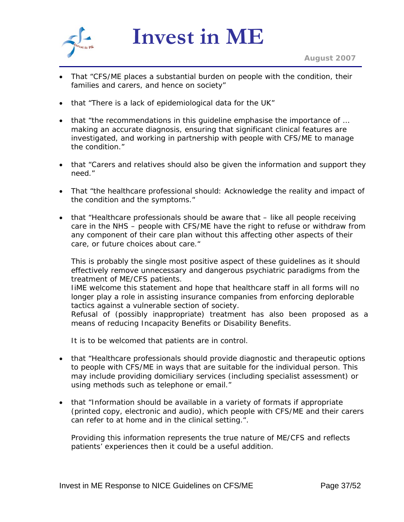

- That "*CFS/ME places a substantial burden on people with the condition, their families and carers, and hence on society*"
- that "*There is a lack of epidemiological data for the UK*"
- that "*the recommendations in this guideline emphasise the importance of … making an accurate diagnosis, ensuring that significant clinical features are investigated, and working in partnership with people with CFS/ME to manage the condition*."
- that "*Carers and relatives should also be given the information and support they need.*"
- That "*the healthcare professional should: Acknowledge the reality and impact of the condition and the symptoms.*"
- that "*Healthcare professionals should be aware that like all people receiving care in the NHS – people with CFS/ME have the right to refuse or withdraw from*  any component of their care plan without this affecting other aspects of their *care, or future choices about care.*"

This is probably the single most positive aspect of these guidelines as it should effectively remove unnecessary and dangerous psychiatric paradigms from the treatment of ME/CFS patients.

IiME welcome this statement and hope that healthcare staff in all forms will no longer play a role in assisting insurance companies from enforcing deplorable tactics against a vulnerable section of society.

Refusal of (possibly inappropriate) treatment has also been proposed as a means of reducing Incapacity Benefits or Disability Benefits.

It is to be welcomed that patients are in control.

- that "*Healthcare professionals should provide diagnostic and therapeutic options to people with CFS/ME in ways that are suitable for the individual person. This may include providing domiciliary services (including specialist assessment) or using methods such as telephone or email.*"
- that "*Information should be available in a variety of formats if appropriate (printed copy, electronic and audio), which people with CFS/ME and their carers can refer to at home and in the clinical setting.*".

Providing this information represents the true nature of ME/CFS and reflects patients' experiences then it could be a useful addition.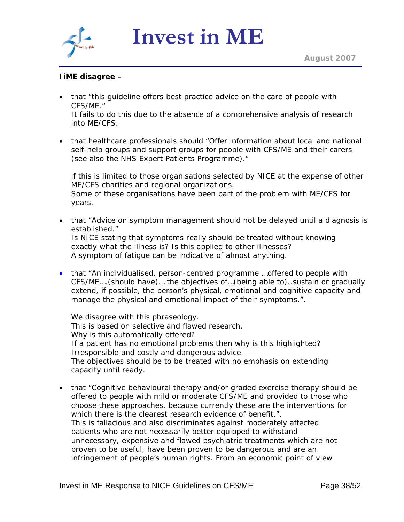

# **IiME disagree –**

• that "*this guideline offers best practice advice on the care of people with CFS/ME.*"

It fails to do this due to the absence of a comprehensive analysis of research into ME/CFS.

• that healthcare professionals should "*Offer information about local and national self-help groups and support groups for people with CFS/ME and their carers (see also the NHS Expert Patients Programme).*"

if this is limited to those organisations selected by NICE at the expense of other ME/CFS charities and regional organizations. Some of these organisations have been part of the problem with ME/CFS for years.

- that "*Advice on symptom management should not be delayed until a diagnosis is established.*" Is NICE stating that symptoms really should be treated without knowing exactly what the illness is? Is this applied to other illnesses? A symptom of fatigue can be indicative of almost anything.
- that "*An individualised, person-centred programme …offered to people with CFS/ME….(should have)… the objectives of…(being able to)..sustain or gradually extend, if possible, the person's physical, emotional and cognitive capacity and manage the physical and emotional impact of their symptoms.*".

We disagree with this phraseology. This is based on selective and flawed research. Why is this automatically offered? If a patient has no emotional problems then why is this highlighted? Irresponsible and costly and dangerous advice. The objectives should be to be treated with no emphasis on extending capacity until ready.

• that "*Cognitive behavioural therapy and/or graded exercise therapy should be offered to people with mild or moderate CFS/ME and provided to those who choose these approaches, because currently these are the interventions for which there is the clearest research evidence of benefit.*". This is fallacious and also discriminates against moderately affected patients who are not necessarily better equipped to withstand unnecessary, expensive and flawed psychiatric treatments which are not proven to be useful, have been proven to be dangerous and are an infringement of people's human rights. From an economic point of view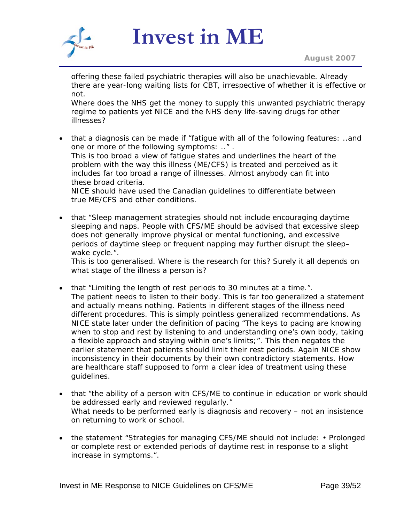

offering these failed psychiatric therapies will also be unachievable. Already there are year-long waiting lists for CBT, irrespective of whether it is effective or not.

Where does the NHS get the money to supply this unwanted psychiatric therapy regime to patients yet NICE and the NHS deny life-saving drugs for other illnesses?

• that a diagnosis can be made if "*fatigue with all of the following features: ..and one or more of the following symptoms: ..*" . This is too broad a view of fatigue states and underlines the heart of the problem with the way this illness (ME/CFS) is treated and perceived as it includes far too broad a range of illnesses. Almost anybody can fit into these broad criteria. NICE should have used the Canadian guidelines to differentiate between

true ME/CFS and other conditions.

• that "*Sleep management strategies should not include encouraging daytime sleeping and naps. People with CFS/ME should be advised that excessive sleep does not generally improve physical or mental functioning, and excessive periods of daytime sleep or frequent napping may further disrupt the sleep– wake cycle.*".

This is too generalised. Where is the research for this? Surely it all depends on what stage of the illness a person is?

- that "*Limiting the length of rest periods to 30 minutes at a time.*". The patient needs to listen to their body. This is far too generalized a statement and actually means nothing. Patients in different stages of the illness need different procedures. This is simply pointless generalized recommendations. As NICE state later under the definition of pacing "*The keys to pacing are knowing when to stop and rest by listening to and understanding one's own body, taking a flexible approach and staying within one's limits*;". This then negates the earlier statement that patients should limit their rest periods. Again NICE show inconsistency in their documents by their own contradictory statements. How are healthcare staff supposed to form a clear idea of treatment using these guidelines.
- that "*the ability of a person with CFS/ME to continue in education or work should be addressed early and reviewed regularly.*" What needs to be performed early is diagnosis and recovery – not an insistence on returning to work or school.
- the statement "*Strategies for managing CFS/ME should not include: Prolonged or complete rest or extended periods of daytime rest in response to a slight increase in symptoms.*".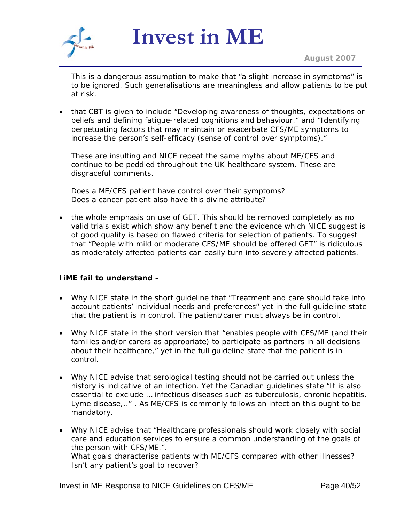

*August 2007*

This is a dangerous assumption to make that "*a slight increase in symptoms*" is to be ignored. Such generalisations are meaningless and allow patients to be put at risk.

• that CBT is given to include "*Developing awareness of thoughts, expectations or beliefs and defining fatigue-related cognitions and behaviour.*" and "*Identifying perpetuating factors that may maintain or exacerbate CFS/ME symptoms to increase the person's self-efficacy (sense of control over symptoms).*"

These are insulting and NICE repeat the same myths about ME/CFS and continue to be peddled throughout the UK healthcare system. These are disgraceful comments.

Does a ME/CFS patient have control over their symptoms? Does a cancer patient also have this divine attribute?

• the whole emphasis on use of GET. This should be removed completely as no valid trials exist which show any benefit and the evidence which NICE suggest is of good quality is based on flawed criteria for selection of patients. To suggest that "*People with mild or moderate CFS/ME should be offered GET*" is ridiculous as moderately affected patients can easily turn into severely affected patients.

# **IiME fail to understand –**

- Why NICE state in the short guideline that "*Treatment and care should take into account patients' individual needs and preferences*" yet in the full guideline state that the patient is in control. The patient/carer must always be in control.
- Why NICE state in the short version that "*enables people with CFS/ME (and their families and/or carers as appropriate) to participate as partners in all decisions about their healthcare,*" yet in the full guideline state that the patient is in control.
- Why NICE advise that serological testing should not be carried out unless the history is indicative of an infection. Yet the Canadian guidelines state "*It is also essential to exclude … infectious diseases such as tuberculosis, chronic hepatitis, Lyme disease,..*" . As ME/CFS is commonly follows an infection this ought to be mandatory.
- Why NICE advise that "*Healthcare professionals should work closely with social care and education services to ensure a common understanding of the goals of the person with CFS/ME.*". What goals characterise patients with ME/CFS compared with other illnesses? Isn't any patient's goal to recover?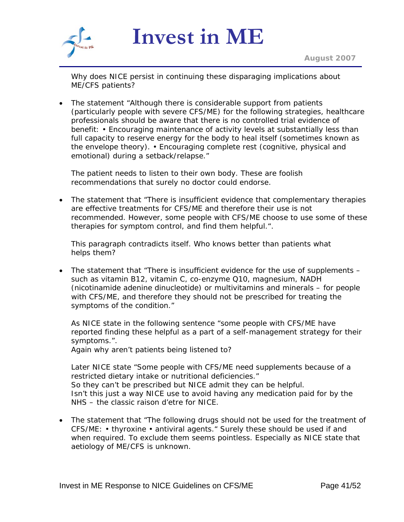

Why does NICE persist in continuing these disparaging implications about ME/CFS patients?

• The statement "Although there is considerable support from patients (particularly people with severe CFS/ME) for the following strategies, healthcare professionals should be aware that there is no controlled trial evidence of benefit: • Encouraging maintenance of activity levels at substantially less than full capacity to reserve energy for the body to heal itself (sometimes known as the envelope theory). • Encouraging complete rest (cognitive, physical and emotional) during a setback/relapse."

The patient needs to listen to their own body. These are foolish recommendations that surely no doctor could endorse.

• The statement that "*There is insufficient evidence that complementary therapies are effective treatments for CFS/ME and therefore their use is not recommended. However, some people with CFS/ME choose to use some of these therapies for symptom control, and find them helpful.*".

This paragraph contradicts itself. Who knows better than patients what helps them?

• The statement that "There is insufficient evidence for the use of supplements – such as vitamin B12, vitamin C, co-enzyme Q10, magnesium, NADH (nicotinamide adenine dinucleotide) or multivitamins and minerals – for people with CFS/ME, and therefore they should not be prescribed for treating the symptoms of the condition."

As NICE state in the following sentence "*some people with CFS/ME have reported finding these helpful as a part of a self-management strategy for their symptoms.*".

Again why aren't patients being listened to?

Later NICE state "*Some people with CFS/ME need supplements because of a restricted dietary intake or nutritional deficiencies.*" So they can't be prescribed but NICE admit they can be helpful. Isn't this just a way NICE use to avoid having any medication paid for by the NHS – the classic raison d'etre for NICE.

• The statement that "*The following drugs should not be used for the treatment of CFS/ME: • thyroxine • antiviral agents.*" Surely these should be used if and when required. To exclude them seems pointless. Especially as NICE state that aetiology of ME/CFS is unknown.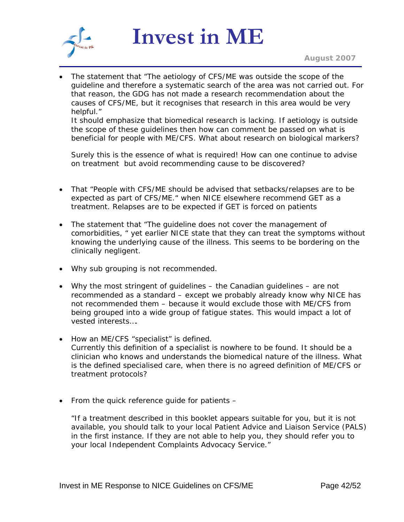

*August 2007*

• The statement that "*The aetiology of CFS/ME was outside the scope of the guideline and therefore a systematic search of the area was not carried out. For that reason, the GDG has not made a research recommendation about the causes of CFS/ME, but it recognises that research in this area would be very helpful.*"

It should emphasize that biomedical research is lacking. If aetiology is outside the scope of these guidelines then how can comment be passed on what is beneficial for people with ME/CFS. What about research on biological markers?

Surely this is the essence of what is required! How can one continue to advise on treatment but avoid recommending cause to be discovered?

- That "*People with CFS/ME should be advised that setbacks/relapses are to be expected as part of CFS/ME.*" when NICE elsewhere recommend GET as a treatment. Relapses are to be expected if GET is forced on patients
- The statement that "*The guideline does not cover the management of comorbidities,* " yet earlier NICE state that they can treat the symptoms without knowing the underlying cause of the illness. This seems to be bordering on the clinically negligent.
- Why sub grouping is not recommended.
- Why the most stringent of guidelines the Canadian guidelines are not recommended as a standard – except we probably already know why NICE has not recommended them – because it would exclude those with ME/CFS from being grouped into a wide group of fatigue states. This would impact a lot of vested interests….
- How an ME/CFS "*specialist*" is defined. Currently this definition of a specialist is nowhere to be found. It should be a clinician who knows and understands the biomedical nature of the illness. What is the defined specialised care, when there is no agreed definition of ME/CFS or treatment protocols?
- From the quick reference guide for patients –

*"If a treatment described in this booklet appears suitable for you, but it is not available, you should talk to your local Patient Advice and Liaison Service (PALS) in the first instance. If they are not able to help you, they should refer you to your local Independent Complaints Advocacy Service."*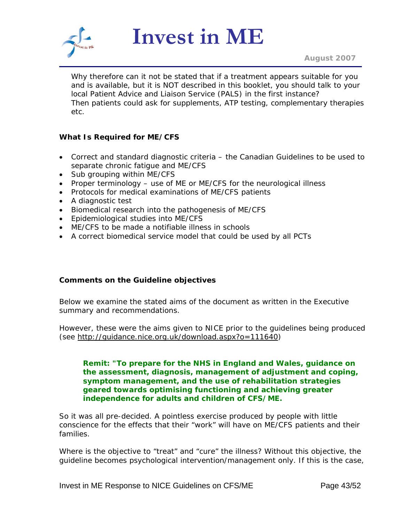

Why therefore can it not be stated that if a treatment appears suitable for you and is available, but it is NOT described in this booklet, you should talk to your local Patient Advice and Liaison Service (PALS) in the first instance? Then patients could ask for supplements, ATP testing, complementary therapies etc.

# **What Is Required for ME/CFS**

- Correct and standard diagnostic criteria the Canadian Guidelines to be used to separate chronic fatigue and ME/CFS
- Sub grouping within ME/CFS
- Proper terminology use of ME or ME/CFS for the neurological illness
- Protocols for medical examinations of ME/CFS patients
- A diagnostic test
- Biomedical research into the pathogenesis of ME/CFS
- Epidemiological studies into ME/CFS
- ME/CFS to be made a notifiable illness in schools
- A correct biomedical service model that could be used by all PCTs

# **Comments on the Guideline objectives**

Below we examine the stated aims of the document as written in the Executive summary and recommendations.

However, these were the aims given to NICE prior to the guidelines being produced (see [http://guidance.nice.org.uk/download.aspx?o=111640\)](http://guidance.nice.org.uk/download.aspx?o=111640)

#### **Remit: "To prepare for the NHS in England and Wales, guidance on the assessment, diagnosis, management of adjustment and coping, symptom management, and the use of rehabilitation strategies geared towards optimising functioning and achieving greater independence for adults and children of CFS/ME.**

So it was all pre-decided. A pointless exercise produced by people with little conscience for the effects that their "work" will have on ME/CFS patients and their families.

Where is the objective to "treat" and "cure" the illness? Without this objective, the guideline becomes psychological intervention/management only. If this is the case,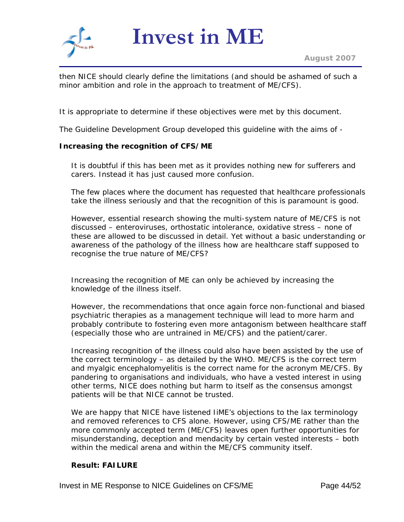

then NICE should clearly define the limitations (and should be ashamed of such a minor ambition and role in the approach to treatment of ME/CFS).

It is appropriate to determine if these objectives were met by this document.

The Guideline Development Group developed this guideline with the aims of -

#### **Increasing the recognition of CFS/ME**

It is doubtful if this has been met as it provides nothing new for sufferers and carers. Instead it has just caused more confusion.

The few places where the document has requested that healthcare professionals take the illness seriously and that the recognition of this is paramount is good.

However, essential research showing the multi-system nature of ME/CFS is not discussed – enteroviruses, orthostatic intolerance, oxidative stress – none of these are allowed to be discussed in detail. Yet without a basic understanding or awareness of the pathology of the illness how are healthcare staff supposed to recognise the true nature of ME/CFS?

Increasing the recognition of ME can only be achieved by increasing the knowledge of the illness itself.

However, the recommendations that once again force non-functional and biased psychiatric therapies as a management technique will lead to more harm and probably contribute to fostering even more antagonism between healthcare staff (especially those who are untrained in ME/CFS) and the patient/carer.

Increasing recognition of the illness could also have been assisted by the use of the correct terminology – as detailed by the WHO. ME/CFS is the correct term and myalgic encephalomyelitis is the correct name for the acronym ME/CFS. By pandering to organisations and individuals, who have a vested interest in using other terms, NICE does nothing but harm to itself as the consensus amongst patients will be that NICE cannot be trusted.

We are happy that NICE have listened IiME's objections to the lax terminology and removed references to CFS alone. However, using CFS/ME rather than the more commonly accepted term (ME/CFS) leaves open further opportunities for misunderstanding, deception and mendacity by certain vested interests – both within the medical arena and within the ME/CFS community itself.

#### **Result: FAILURE**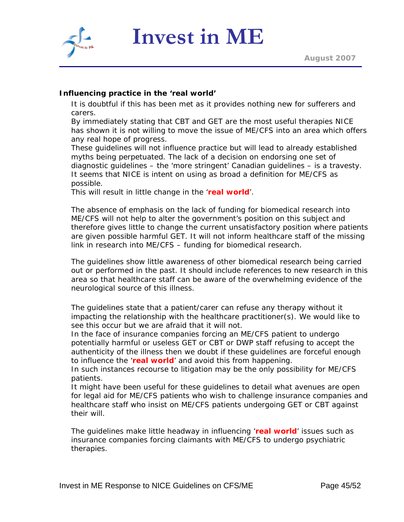



It is doubtful if this has been met as it provides nothing new for sufferers and carers.

**Invest in ME**

By immediately stating that CBT and GET are the most useful therapies NICE has shown it is not willing to move the issue of ME/CFS into an area which offers any real hope of progress.

These guidelines will not influence practice but will lead to already established myths being perpetuated. The lack of a decision on endorsing one set of diagnostic guidelines – the '*more stringent*' Canadian guidelines – is a travesty. It seems that NICE is intent on using as broad a definition for ME/CFS as possible.

This will result in little change in the '*real world*'.

The absence of emphasis on the lack of funding for biomedical research into ME/CFS will not help to alter the government's position on this subject and therefore gives little to change the current unsatisfactory position where patients are given possible harmful GET. It will not inform healthcare staff of the missing link in research into ME/CFS – funding for biomedical research.

The guidelines show little awareness of other biomedical research being carried out or performed in the past. It should include references to new research in this area so that healthcare staff can be aware of the overwhelming evidence of the neurological source of this illness.

The guidelines state that a patient/carer can refuse any therapy without it impacting the relationship with the healthcare practitioner(s). We would like to see this occur but we are afraid that it will not.

In the face of insurance companies forcing an ME/CFS patient to undergo potentially harmful or useless GET or CBT or DWP staff refusing to accept the authenticity of the illness then we doubt if these guidelines are forceful enough to influence the '*real world*' and avoid this from happening.

In such instances recourse to litigation may be the only possibility for ME/CFS patients.

It might have been useful for these guidelines to detail what avenues are open for legal aid for ME/CFS patients who wish to challenge insurance companies and healthcare staff who insist on ME/CFS patients undergoing GET or CBT against their will.

The guidelines make little headway in influencing '*real world*' issues such as insurance companies forcing claimants with ME/CFS to undergo psychiatric therapies.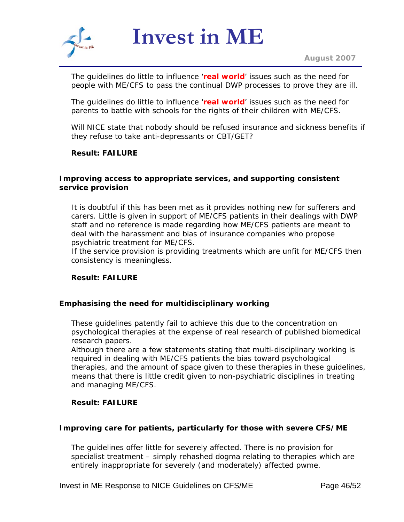

The guidelines do little to influence '*real world*' issues such as the need for people with ME/CFS to pass the continual DWP processes to prove they are ill.

The guidelines do little to influence '*real world*' issues such as the need for parents to battle with schools for the rights of their children with ME/CFS.

Will NICE state that nobody should be refused insurance and sickness benefits if they refuse to take anti-depressants or CBT/GET?

#### **Result: FAILURE**

#### **Improving access to appropriate services, and supporting consistent service provision**

It is doubtful if this has been met as it provides nothing new for sufferers and carers. Little is given in support of ME/CFS patients in their dealings with DWP staff and no reference is made regarding how ME/CFS patients are meant to deal with the harassment and bias of insurance companies who propose psychiatric treatment for ME/CFS.

If the service provision is providing treatments which are unfit for ME/CFS then consistency is meaningless.

#### **Result: FAILURE**

#### **Emphasising the need for multidisciplinary working**

These guidelines patently fail to achieve this due to the concentration on psychological therapies at the expense of real research of published biomedical research papers.

Although there are a few statements stating that multi-disciplinary working is required in dealing with ME/CFS patients the bias toward psychological therapies, and the amount of space given to these therapies in these guidelines, means that there is little credit given to non-psychiatric disciplines in treating and managing ME/CFS.

#### **Result: FAILURE**

#### **Improving care for patients, particularly for those with severe CFS/ME**

The guidelines offer little for severely affected. There is no provision for specialist treatment – simply rehashed dogma relating to therapies which are entirely inappropriate for severely (and moderately) affected pwme.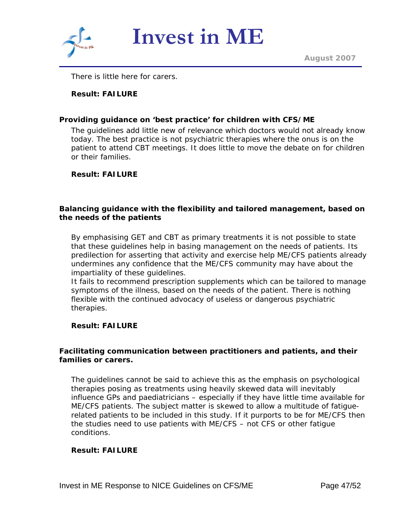

There is little here for carers.

## **Result: FAILURE**

#### **Providing guidance on 'best practice' for children with CFS/ME**

The guidelines add little new of relevance which doctors would not already know today. The best practice is not psychiatric therapies where the onus is on the patient to attend CBT meetings. It does little to move the debate on for children or their families.

#### **Result: FAILURE**

#### **Balancing guidance with the flexibility and tailored management, based on the needs of the patients**

By emphasising GET and CBT as primary treatments it is not possible to state that these guidelines help in basing management on the needs of patients. Its predilection for asserting that activity and exercise help ME/CFS patients already undermines any confidence that the ME/CFS community may have about the impartiality of these guidelines.

It fails to recommend prescription supplements which can be tailored to manage symptoms of the illness, based on the needs of the patient. There is nothing flexible with the continued advocacy of useless or dangerous psychiatric therapies.

#### **Result: FAILURE**

#### **Facilitating communication between practitioners and patients, and their families or carers.**

The guidelines cannot be said to achieve this as the emphasis on psychological therapies posing as treatments using heavily skewed data will inevitably influence GPs and paediatricians – especially if they have little time available for ME/CFS patients. The subject matter is skewed to allow a multitude of fatiguerelated patients to be included in this study. If it purports to be for ME/CFS then the studies need to use patients with ME/CFS – not CFS or other fatigue conditions.

#### **Result: FAILURE**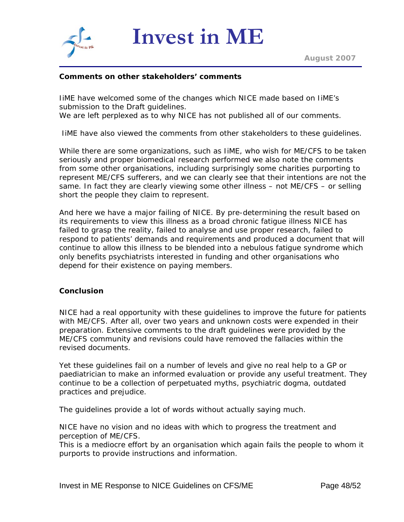

#### **Comments on other stakeholders' comments**

IiME have welcomed some of the changes which NICE made based on IiME's submission to the Draft guidelines.

We are left perplexed as to why NICE has not published all of our comments.

IiME have also viewed the comments from other stakeholders to these guidelines.

While there are some organizations, such as IiME, who wish for ME/CFS to be taken seriously and proper biomedical research performed we also note the comments from some other organisations, including surprisingly some charities purporting to represent ME/CFS sufferers, and we can clearly see that their intentions are not the same. In fact they are clearly viewing some other illness – not ME/CFS – or selling short the people they claim to represent.

And here we have a major failing of NICE. By pre-determining the result based on its requirements to view this illness as a broad chronic fatigue illness NICE has failed to grasp the reality, failed to analyse and use proper research, failed to respond to patients' demands and requirements and produced a document that will continue to allow this illness to be blended into a nebulous fatigue syndrome which only benefits psychiatrists interested in funding and other organisations who depend for their existence on paying members.

#### **Conclusion**

NICE had a real opportunity with these guidelines to improve the future for patients with ME/CFS. After all, over two years and unknown costs were expended in their preparation. Extensive comments to the draft guidelines were provided by the ME/CFS community and revisions could have removed the fallacies within the revised documents.

Yet these guidelines fail on a number of levels and give no real help to a GP or paediatrician to make an informed evaluation or provide any useful treatment. They continue to be a collection of perpetuated myths, psychiatric dogma, outdated practices and prejudice.

The guidelines provide a lot of words without actually saying much.

NICE have no vision and no ideas with which to progress the treatment and perception of ME/CFS.

This is a mediocre effort by an organisation which again fails the people to whom it purports to provide instructions and information.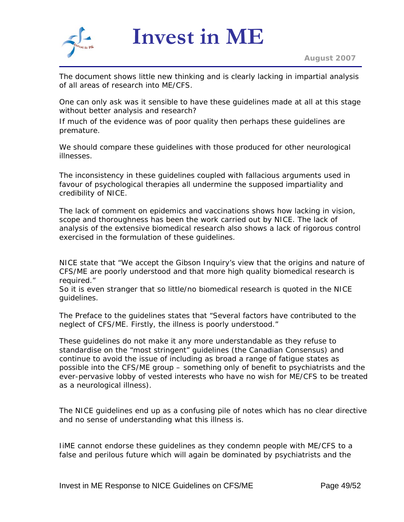

The document shows little new thinking and is clearly lacking in impartial analysis of all areas of research into ME/CFS.

One can only ask was it sensible to have these guidelines made at all at this stage without better analysis and research?

If much of the evidence was of poor quality then perhaps these guidelines are premature.

We should compare these guidelines with those produced for other neurological illnesses.

The inconsistency in these guidelines coupled with fallacious arguments used in favour of psychological therapies all undermine the supposed impartiality and credibility of NICE.

The lack of comment on epidemics and vaccinations shows how lacking in vision, scope and thoroughness has been the work carried out by NICE. The lack of analysis of the extensive biomedical research also shows a lack of rigorous control exercised in the formulation of these guidelines.

NICE state that "*We accept the Gibson Inquiry's view that the origins and nature of CFS/ME are poorly understood and that more high quality biomedical research is required*."

So it is even stranger that so little/no biomedical research is quoted in the NICE guidelines.

The Preface to the guidelines states that "*Several factors have contributed to the neglect of CFS/ME. Firstly, the illness is poorly understood.*"

These guidelines do not make it any more understandable as they refuse to standardise on the "*most stringent*" guidelines (the Canadian Consensus) and continue to avoid the issue of including as broad a range of fatigue states as possible into the CFS/ME group – something only of benefit to psychiatrists and the ever-pervasive lobby of vested interests who have no wish for ME/CFS to be treated as a neurological illness).

The NICE guidelines end up as a confusing pile of notes which has no clear directive and no sense of understanding what this illness is.

IiME cannot endorse these guidelines as they condemn people with ME/CFS to a false and perilous future which will again be dominated by psychiatrists and the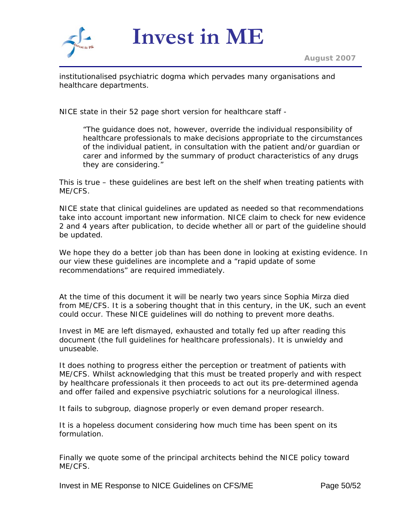

institutionalised psychiatric dogma which pervades many organisations and healthcare departments.

NICE state in their 52 page short version for healthcare staff -

"*The guidance does not, however, override the individual responsibility of healthcare professionals to make decisions appropriate to the circumstances of the individual patient, in consultation with the patient and/or guardian or carer and informed by the summary of product characteristics of any drugs they are considering.*"

This is true – these guidelines are best left on the shelf when treating patients with ME/CFS.

NICE state that clinical guidelines are updated as needed so that recommendations take into account important new information. NICE claim to check for new evidence 2 and 4 years after publication, to decide whether all or part of the guideline should be updated.

We hope they do a better job than has been done in looking at existing evidence. In our view these guidelines are incomplete and a "rapid update of some recommendations" are required immediately.

At the time of this document it will be nearly two years since Sophia Mirza died from ME/CFS. It is a sobering thought that in this century, in the UK, such an event could occur. These NICE guidelines will do nothing to prevent more deaths.

Invest in ME are left dismayed, exhausted and totally fed up after reading this document (the full guidelines for healthcare professionals). It is unwieldy and unuseable.

It does nothing to progress either the perception or treatment of patients with ME/CFS. Whilst acknowledging that this must be treated properly and with respect by healthcare professionals it then proceeds to act out its pre-determined agenda and offer failed and expensive psychiatric solutions for a neurological illness.

It fails to subgroup, diagnose properly or even demand proper research.

It is a hopeless document considering how much time has been spent on its formulation.

Finally we quote some of the principal architects behind the NICE policy toward ME/CFS.

Invest in ME Response to NICE Guidelines on CFS/ME Page 50/52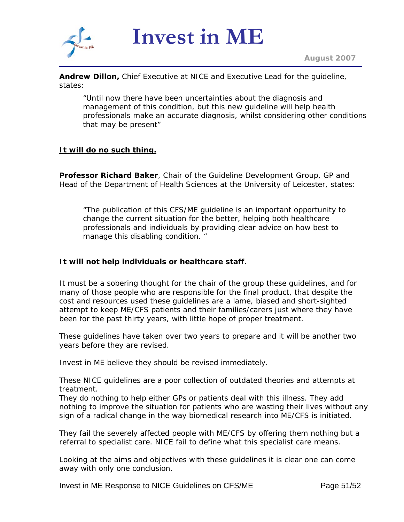

**Andrew Dillon,** Chief Executive at NICE and Executive Lead for the guideline, states:

"Until now there have been uncertainties about the diagnosis and management of this condition, but this new guideline will help health professionals make an accurate diagnosis, whilst considering other conditions that may be present"

#### **It will do no such thing.**

**Professor Richard Baker**, Chair of the Guideline Development Group, GP and Head of the Department of Health Sciences at the University of Leicester, states:

"The publication of this CFS/ME guideline is an important opportunity to change the current situation for the better, helping both healthcare professionals and individuals by providing clear advice on how best to manage this disabling condition. "

#### **It will not help individuals or healthcare staff.**

It must be a sobering thought for the chair of the group these guidelines, and for many of those people who are responsible for the final product, that despite the cost and resources used these guidelines are a lame, biased and short-sighted attempt to keep ME/CFS patients and their families/carers just where they have been for the past thirty years, with little hope of proper treatment.

These guidelines have taken over two years to prepare and it will be another two years before they are revised.

Invest in ME believe they should be revised immediately.

These NICE guidelines are a poor collection of outdated theories and attempts at treatment.

They do nothing to help either GPs or patients deal with this illness. They add nothing to improve the situation for patients who are wasting their lives without any sign of a radical change in the way biomedical research into ME/CFS is initiated.

They fail the severely affected people with ME/CFS by offering them nothing but a referral to specialist care. NICE fail to define what this specialist care means.

Looking at the aims and objectives with these guidelines it is clear one can come away with only one conclusion.

Invest in ME Response to NICE Guidelines on CFS/ME Page 51/52